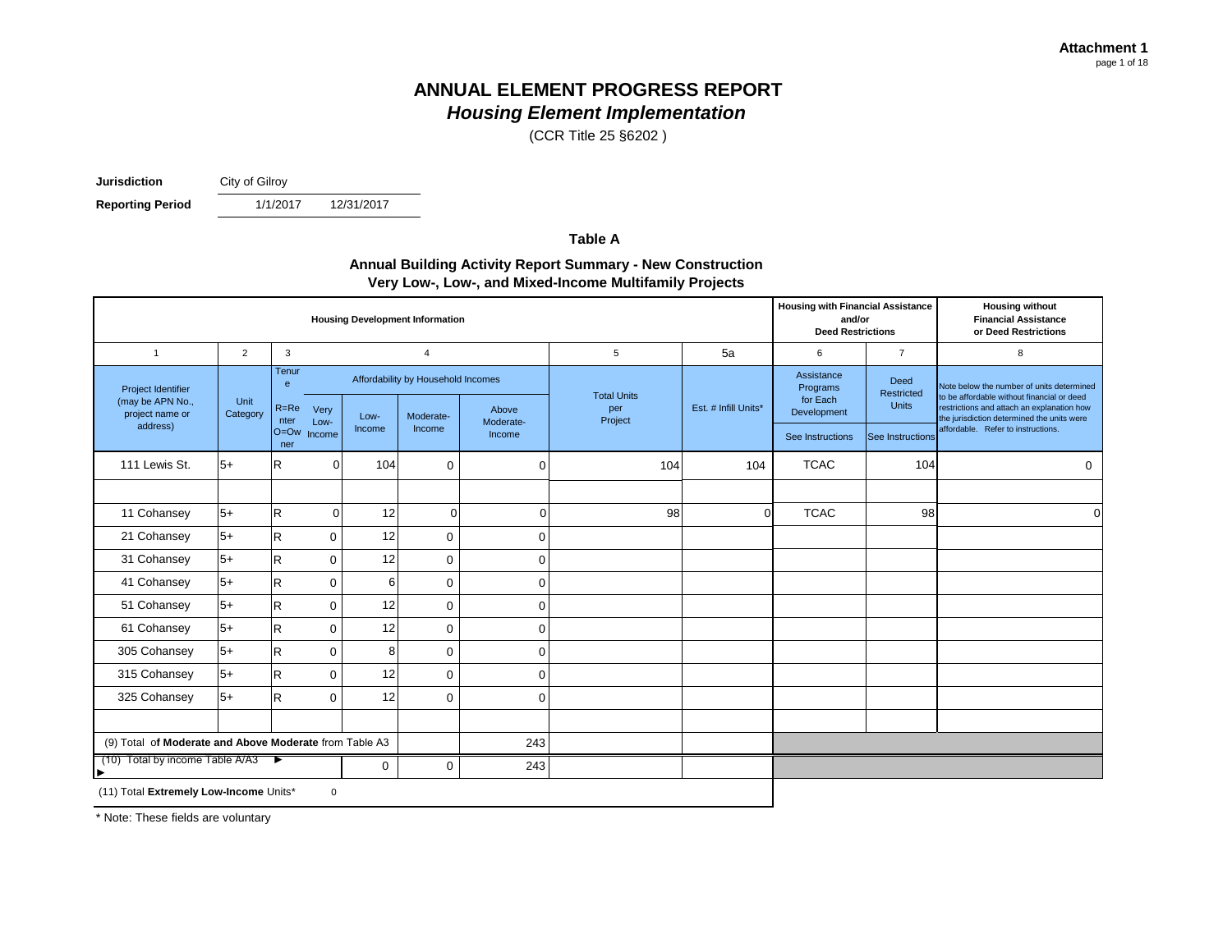(CCR Title 25 §6202 )

**Jurisdiction** City of Gilroy

**Reporting Period** 1/1/2017

12/31/2017

**Table A**

#### **Annual Building Activity Report Summary - New Construction Very Low-, Low-, and Mixed-Income Multifamily Projects**

| <b>Housing Development Information</b>                   |                                                       |                                                             |              |        |                    |                    |                                    |                      | <b>Housing with Financial Assistance</b><br><b>Housing without</b><br>and/or<br><b>Financial Assistance</b><br><b>Deed Restrictions</b><br>or Deed Restrictions |                         |                                                                                          |
|----------------------------------------------------------|-------------------------------------------------------|-------------------------------------------------------------|--------------|--------|--------------------|--------------------|------------------------------------|----------------------|-----------------------------------------------------------------------------------------------------------------------------------------------------------------|-------------------------|------------------------------------------------------------------------------------------|
| $\mathbf{1}$                                             | 2                                                     | 3                                                           |              |        | $\overline{4}$     |                    | 5                                  | 5a                   | 6                                                                                                                                                               | $\overline{7}$          | 8                                                                                        |
| Project Identifier<br>(may be APN No.,                   | Unit                                                  | Tenur<br>Affordability by Household Incomes<br>$\mathbf{e}$ |              |        | <b>Total Units</b> |                    | Assistance<br>Programs<br>for Each | Deed<br>Restricted   | Note below the number of units determined<br>to be affordable without financial or deed                                                                         |                         |                                                                                          |
| project name or<br>address)                              | Category                                              | $R = Re$<br>nter                                            | Very<br>Low- | Low-   | Moderate-          | Above<br>Moderate- | per<br>Project                     | Est. # Infill Units* | Development                                                                                                                                                     | Units                   | restrictions and attach an explanation how<br>the jurisdiction determined the units were |
|                                                          |                                                       | ner                                                         | O=Ow Income  | Income | Income             | Income             |                                    |                      | See Instructions                                                                                                                                                | <b>See Instructions</b> | affordable. Refer to instructions.                                                       |
| 111 Lewis St.                                            | $5+$                                                  | R                                                           | $\Omega$     | 104    | $\mathbf 0$        | $\Omega$           | 104                                | 104                  | <b>TCAC</b>                                                                                                                                                     | 104                     | 0                                                                                        |
|                                                          |                                                       |                                                             |              |        |                    |                    |                                    |                      |                                                                                                                                                                 |                         |                                                                                          |
| 11 Cohansey                                              | 5+                                                    | R                                                           | $\Omega$     | 12     | $\overline{0}$     | $\mathbf 0$        | 98                                 | $\Omega$             | <b>TCAC</b>                                                                                                                                                     | 98                      | $\Omega$                                                                                 |
| 21 Cohansey                                              | $5+$                                                  | $\mathsf{R}$                                                | $\Omega$     | 12     | $\mathbf 0$        | 0                  |                                    |                      |                                                                                                                                                                 |                         |                                                                                          |
| 31 Cohansey                                              | $5+$                                                  | $\mathsf{R}$                                                | $\Omega$     | 12     | $\mathbf 0$        | $\mathbf 0$        |                                    |                      |                                                                                                                                                                 |                         |                                                                                          |
| 41 Cohansey                                              | $5+$                                                  | $\mathsf{R}$                                                | $\mathbf 0$  | 6      | $\mathbf 0$        | $\mathbf 0$        |                                    |                      |                                                                                                                                                                 |                         |                                                                                          |
| 51 Cohansey                                              | $5+$                                                  | R.                                                          | $\mathbf 0$  | 12     | $\pmb{0}$          | $\mathbf 0$        |                                    |                      |                                                                                                                                                                 |                         |                                                                                          |
| 61 Cohansey                                              | 5+                                                    | $\mathsf{R}$                                                | $\Omega$     | 12     | $\mathbf 0$        | $\mathbf 0$        |                                    |                      |                                                                                                                                                                 |                         |                                                                                          |
| 305 Cohansey                                             | 5+                                                    | R.                                                          | $\mathbf 0$  | 8      | $\mathbf 0$        | $\mathbf 0$        |                                    |                      |                                                                                                                                                                 |                         |                                                                                          |
| 315 Cohansey                                             | $5+$                                                  | R.                                                          | $\Omega$     | 12     | $\mathbf 0$        | 0                  |                                    |                      |                                                                                                                                                                 |                         |                                                                                          |
| 325 Cohansey                                             | $5+$                                                  | R                                                           | $\Omega$     | 12     | $\mathbf 0$        | $\mathbf 0$        |                                    |                      |                                                                                                                                                                 |                         |                                                                                          |
|                                                          |                                                       |                                                             |              |        |                    |                    |                                    |                      |                                                                                                                                                                 |                         |                                                                                          |
| (9) Total of Moderate and Above Moderate from Table A3   |                                                       |                                                             | 243          |        |                    |                    |                                    |                      |                                                                                                                                                                 |                         |                                                                                          |
| (10) Total by income Table A/A3<br>$\blacktriangleright$ |                                                       |                                                             |              | 0      | $\mathbf 0$        | 243                |                                    |                      |                                                                                                                                                                 |                         |                                                                                          |
|                                                          | (11) Total Extremely Low-Income Units*<br>$\mathbf 0$ |                                                             |              |        |                    |                    |                                    |                      |                                                                                                                                                                 |                         |                                                                                          |

\* Note: These fields are voluntary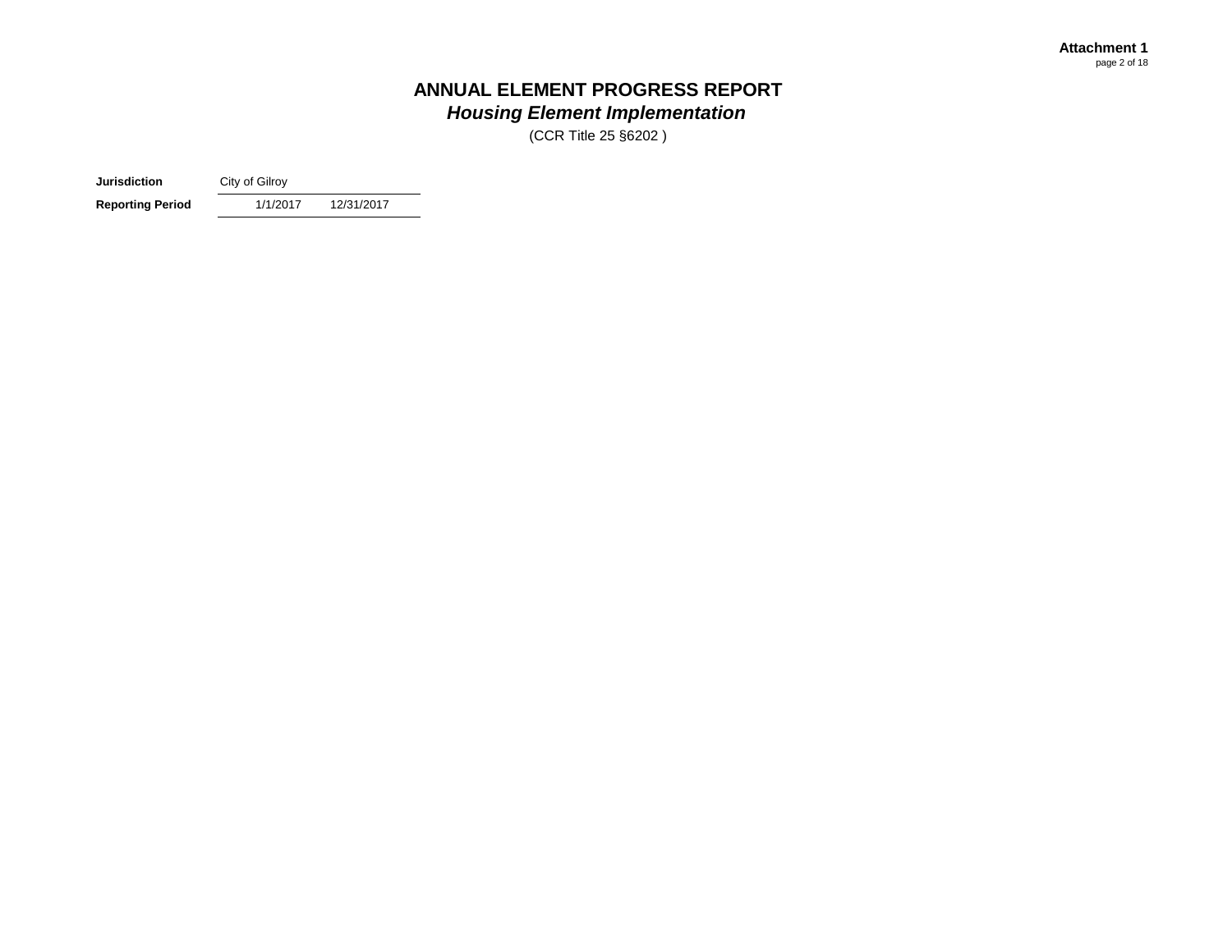#### **Attachment 1** page 2 of 18

#### **ANNUAL ELEMENT PROGRESS REPORT** *Housing Element Implementation*

(CCR Title 25 §6202 )

**Jurisdiction** City of Gilroy

**Reporting Period** 1/1/2017

12/31/2017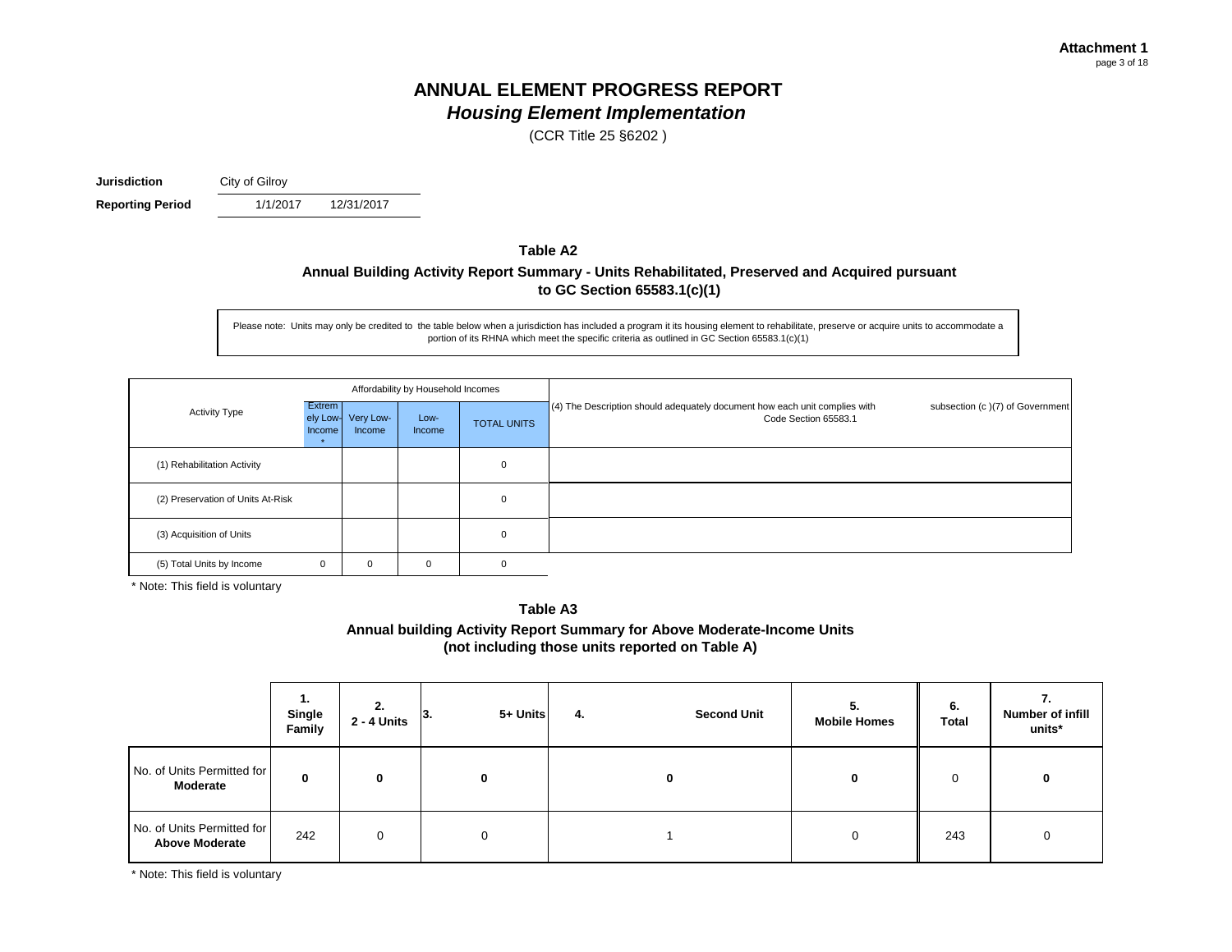(CCR Title 25 §6202 )

**Jurisdiction** City of Gilroy

**Reporting Period** 1/1/2017

12/31/2017

#### **Table A2**

#### **Annual Building Activity Report Summary - Units Rehabilitated, Preserved and Acquired pursuant to GC Section 65583.1(c)(1)**

Please note: Units may only be credited to the table below when a jurisdiction has included a program it its housing element to rehabilitate, preserve or acquire units to accommodate a portion of its RHNA which meet the specific criteria as outlined in GC Section 65583.1(c)(1)

|                                   |                         |                                                                      | Affordability by Household Incomes |             |                                                                                                                                       |
|-----------------------------------|-------------------------|----------------------------------------------------------------------|------------------------------------|-------------|---------------------------------------------------------------------------------------------------------------------------------------|
| <b>Activity Type</b>              | <b>Extrem</b><br>Income | ely Low- Very Low-<br>Low-<br><b>TOTAL UNITS</b><br>Income<br>Income |                                    |             | subsection (c)(7) of Government<br>(4) The Description should adequately document how each unit complies with<br>Code Section 65583.1 |
| (1) Rehabilitation Activity       |                         |                                                                      |                                    | $\mathbf 0$ |                                                                                                                                       |
| (2) Preservation of Units At-Risk |                         |                                                                      |                                    | $\mathbf 0$ |                                                                                                                                       |
| (3) Acquisition of Units          |                         |                                                                      |                                    | $\mathbf 0$ |                                                                                                                                       |
| (5) Total Units by Income         | $\mathbf 0$             | 0                                                                    | $\mathbf 0$                        | $\mathbf 0$ |                                                                                                                                       |

\* Note: This field is voluntary



|                                                     | .,<br>Single<br>Family | 2.<br>2 - 4 Units | 5+ Units<br>13. | <b>Second Unit</b><br>4. | <b>Mobile Homes</b> | 6.<br><b>Total</b> | <br>Number of infill<br>units* |
|-----------------------------------------------------|------------------------|-------------------|-----------------|--------------------------|---------------------|--------------------|--------------------------------|
| No. of Units Permitted for<br>Moderate              | 0                      | 0                 | 0               | 0                        | 0                   | 0                  | 0                              |
| No. of Units Permitted for<br><b>Above Moderate</b> | 242                    |                   |                 |                          | 0                   | 243                | υ                              |

\* Note: This field is voluntary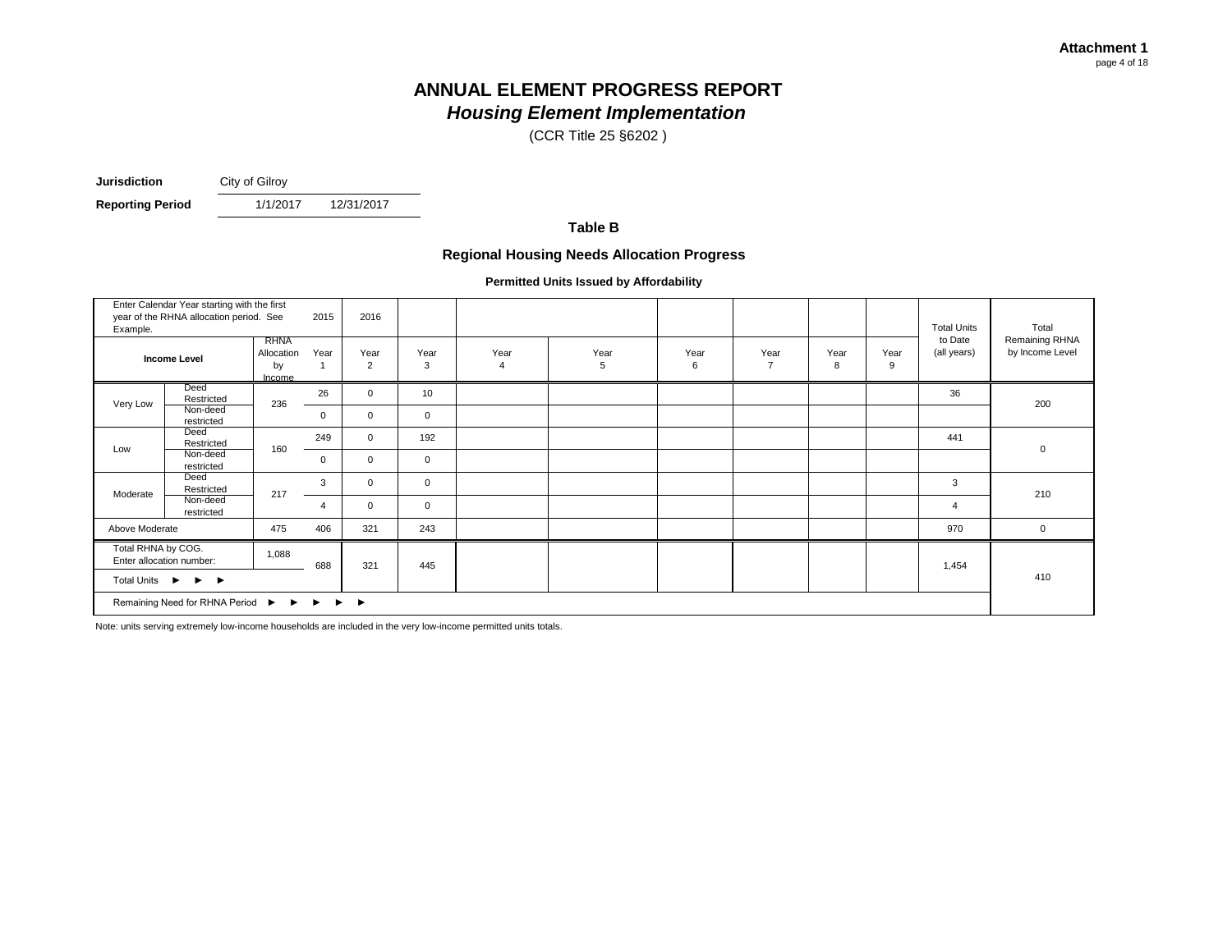# **ANNUAL ELEMENT PROGRESS REPORT**

*Housing Element Implementation*

(CCR Title 25 §6202 )

**Jurisdiction** City of Gilroy

**Reporting Period** 1/1/2017

12/31/2017

**Table B**

#### **Regional Housing Needs Allocation Progress**

**Permitted Units Issued by Affordability**

| Example.           | Enter Calendar Year starting with the first<br>year of the RHNA allocation period. See               |                                    | 2015        | 2016                   |             |                        |           |           |                        |           |           | <b>Total Units</b>     | Total                             |
|--------------------|------------------------------------------------------------------------------------------------------|------------------------------------|-------------|------------------------|-------------|------------------------|-----------|-----------|------------------------|-----------|-----------|------------------------|-----------------------------------|
|                    | <b>Income Level</b>                                                                                  | RHNA<br>Allocation<br>by<br>Income | Year        | Year<br>$\overline{2}$ | Year<br>3   | Year<br>$\overline{4}$ | Year<br>5 | Year<br>6 | Year<br>$\overline{7}$ | Year<br>8 | Year<br>9 | to Date<br>(all years) | Remaining RHNA<br>by Income Level |
| Very Low           | Deed<br>Restricted                                                                                   | 236                                | 26          | $\mathbf 0$            | 10          |                        |           |           |                        |           |           | 36                     | 200                               |
|                    | Non-deed<br>restricted                                                                               |                                    | $\mathbf 0$ | $\mathbf 0$            | $\mathbf 0$ |                        |           |           |                        |           |           |                        |                                   |
| Low                | Deed<br>Restricted                                                                                   | 160                                | 249         | $\mathbf{0}$           | 192         |                        |           |           |                        |           |           | 441                    | $\mathbf 0$                       |
|                    | Non-deed<br>restricted                                                                               |                                    | $\Omega$    | $\mathbf 0$            | $\mathbf 0$ |                        |           |           |                        |           |           |                        |                                   |
| Moderate           | Deed<br>Restricted                                                                                   | 217                                | 3           | $\mathbf 0$            | $\mathbf 0$ |                        |           |           |                        |           |           | 3                      | 210                               |
|                    | Non-deed<br>restricted                                                                               |                                    |             | $\mathbf 0$            | $\mathbf 0$ |                        |           |           |                        |           |           | $\overline{4}$         |                                   |
| Above Moderate     |                                                                                                      | 475                                | 406         | 321                    | 243         |                        |           |           |                        |           |           | 970                    | $\mathbf 0$                       |
| Total RHNA by COG. | Enter allocation number:                                                                             | 1,088                              | 688         | 321                    | 445         |                        |           |           |                        |           |           | 1,454                  |                                   |
| Total Units ▶      | $\rightarrow$                                                                                        |                                    |             |                        |             |                        |           |           |                        |           |           |                        | 410                               |
|                    | Remaining Need for RHNA Period $\rightarrow$ $\rightarrow$ $\rightarrow$ $\rightarrow$ $\rightarrow$ |                                    |             |                        |             |                        |           |           |                        |           |           |                        |                                   |

Note: units serving extremely low-income households are included in the very low-income permitted units totals.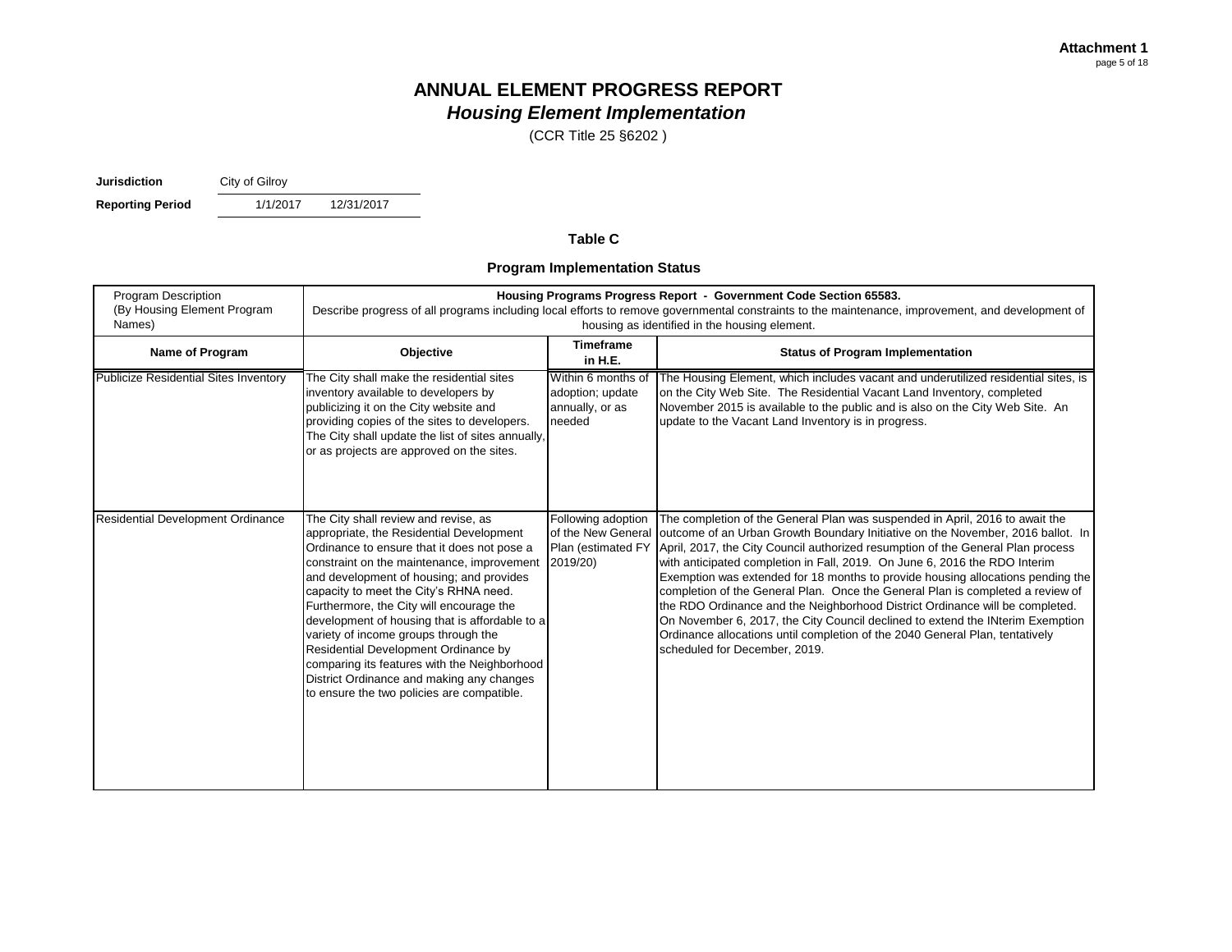(CCR Title 25 §6202 )

**Jurisdiction** City of Gilroy

**Reporting Period** 1/1/2017

12/31/2017

#### **Table C**

#### **Program Implementation Status**

| <b>Program Description</b><br>(By Housing Element Program<br>Names) | Housing Programs Progress Report - Government Code Section 65583.<br>Describe progress of all programs including local efforts to remove governmental constraints to the maintenance, improvement, and development of<br>housing as identified in the housing element.                                                                                                                                                                                                                                                                                                                       |                                                                            |                                                                                                                                                                                                                                                                                                                                                                                                                                                                                                                                                                                                                                                                                                                                                                                          |  |  |
|---------------------------------------------------------------------|----------------------------------------------------------------------------------------------------------------------------------------------------------------------------------------------------------------------------------------------------------------------------------------------------------------------------------------------------------------------------------------------------------------------------------------------------------------------------------------------------------------------------------------------------------------------------------------------|----------------------------------------------------------------------------|------------------------------------------------------------------------------------------------------------------------------------------------------------------------------------------------------------------------------------------------------------------------------------------------------------------------------------------------------------------------------------------------------------------------------------------------------------------------------------------------------------------------------------------------------------------------------------------------------------------------------------------------------------------------------------------------------------------------------------------------------------------------------------------|--|--|
| <b>Name of Program</b>                                              | <b>Objective</b>                                                                                                                                                                                                                                                                                                                                                                                                                                                                                                                                                                             | <b>Timeframe</b><br>in H.E.                                                | <b>Status of Program Implementation</b>                                                                                                                                                                                                                                                                                                                                                                                                                                                                                                                                                                                                                                                                                                                                                  |  |  |
| <b>Publicize Residential Sites Inventory</b>                        | The City shall make the residential sites<br>inventory available to developers by<br>publicizing it on the City website and<br>providing copies of the sites to developers.<br>The City shall update the list of sites annually,<br>or as projects are approved on the sites.                                                                                                                                                                                                                                                                                                                | Within 6 months of<br>adoption; update<br>annually, or as<br>needed        | The Housing Element, which includes vacant and underutilized residential sites, is<br>on the City Web Site. The Residential Vacant Land Inventory, completed<br>November 2015 is available to the public and is also on the City Web Site. An<br>update to the Vacant Land Inventory is in progress.                                                                                                                                                                                                                                                                                                                                                                                                                                                                                     |  |  |
| <b>Residential Development Ordinance</b>                            | The City shall review and revise, as<br>appropriate, the Residential Development<br>Ordinance to ensure that it does not pose a<br>constraint on the maintenance, improvement<br>and development of housing; and provides<br>capacity to meet the City's RHNA need.<br>Furthermore, the City will encourage the<br>development of housing that is affordable to a<br>variety of income groups through the<br>Residential Development Ordinance by<br>comparing its features with the Neighborhood<br>District Ordinance and making any changes<br>to ensure the two policies are compatible. | Following adoption<br>of the New General<br>Plan (estimated FY<br>2019/20) | The completion of the General Plan was suspended in April, 2016 to await the<br>outcome of an Urban Growth Boundary Initiative on the November, 2016 ballot. In<br>April, 2017, the City Council authorized resumption of the General Plan process<br>with anticipated completion in Fall, 2019. On June 6, 2016 the RDO Interim<br>Exemption was extended for 18 months to provide housing allocations pending the<br>completion of the General Plan. Once the General Plan is completed a review of<br>the RDO Ordinance and the Neighborhood District Ordinance will be completed.<br>On November 6, 2017, the City Council declined to extend the INterim Exemption<br>Ordinance allocations until completion of the 2040 General Plan, tentatively<br>scheduled for December, 2019. |  |  |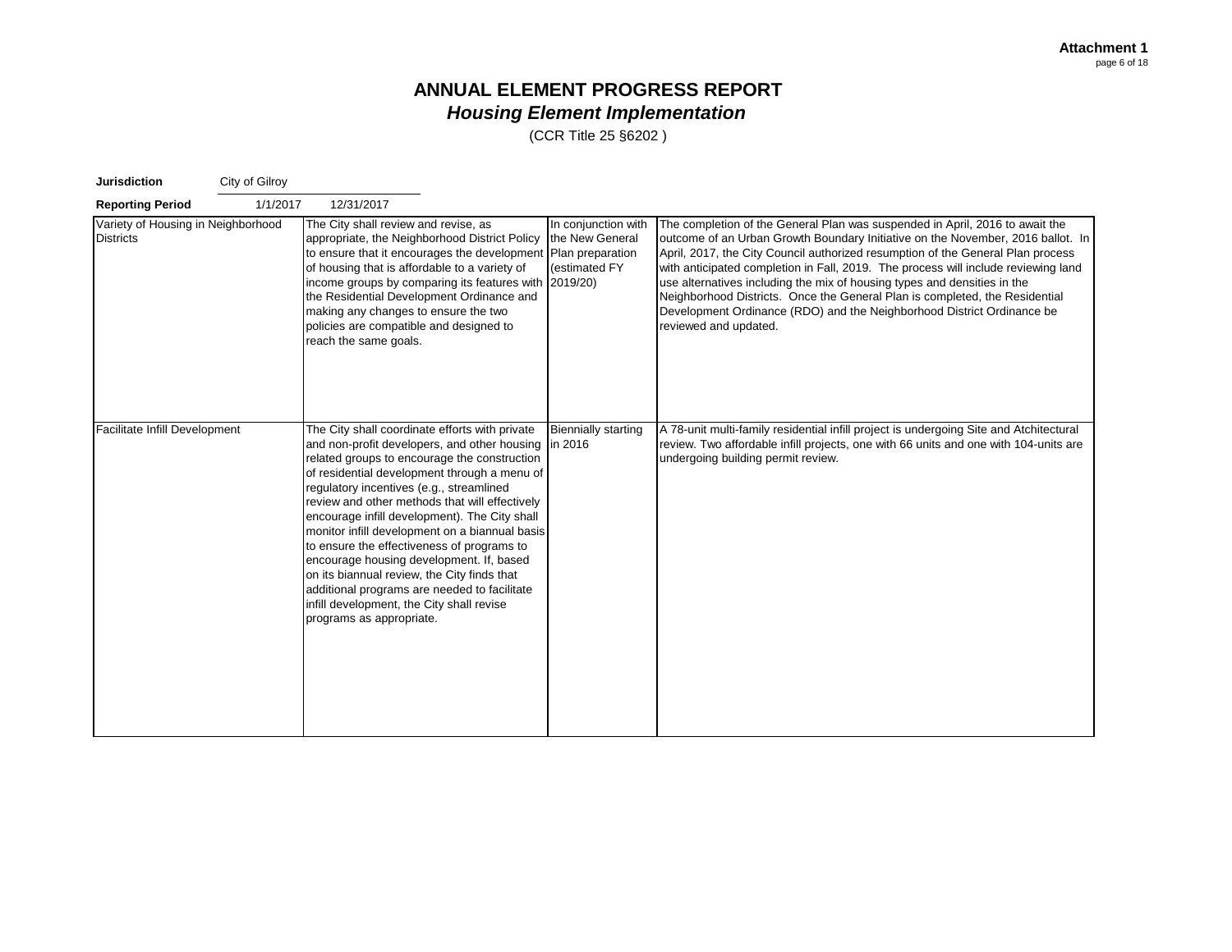| <b>Jurisdiction</b>                                    | City of Gilroy |                                                                                                                                                                                                                                                                                                                                                                                                               |                                                                                                                                                                                                                                                          |                                                         |                                                                                                                                                                                                                                                                                                                                                                                                                                                                                                                                                                                                        |
|--------------------------------------------------------|----------------|---------------------------------------------------------------------------------------------------------------------------------------------------------------------------------------------------------------------------------------------------------------------------------------------------------------------------------------------------------------------------------------------------------------|----------------------------------------------------------------------------------------------------------------------------------------------------------------------------------------------------------------------------------------------------------|---------------------------------------------------------|--------------------------------------------------------------------------------------------------------------------------------------------------------------------------------------------------------------------------------------------------------------------------------------------------------------------------------------------------------------------------------------------------------------------------------------------------------------------------------------------------------------------------------------------------------------------------------------------------------|
| <b>Reporting Period</b>                                | 1/1/2017       | 12/31/2017                                                                                                                                                                                                                                                                                                                                                                                                    |                                                                                                                                                                                                                                                          |                                                         |                                                                                                                                                                                                                                                                                                                                                                                                                                                                                                                                                                                                        |
| Variety of Housing in Neighborhood<br><b>Districts</b> |                | The City shall review and revise, as<br>of housing that is affordable to a variety of<br>the Residential Development Ordinance and<br>making any changes to ensure the two<br>policies are compatible and designed to<br>reach the same goals.                                                                                                                                                                | appropriate, the Neighborhood District Policy<br>to ensure that it encourages the development Plan preparation<br>income groups by comparing its features with 2019/20)                                                                                  | In conjunction with<br>the New General<br>(estimated FY | The completion of the General Plan was suspended in April, 2016 to await the<br>outcome of an Urban Growth Boundary Initiative on the November, 2016 ballot. In<br>April, 2017, the City Council authorized resumption of the General Plan process<br>with anticipated completion in Fall, 2019. The process will include reviewing land<br>use alternatives including the mix of housing types and densities in the<br>Neighborhood Districts. Once the General Plan is completed, the Residential<br>Development Ordinance (RDO) and the Neighborhood District Ordinance be<br>reviewed and updated. |
| Facilitate Infill Development                          |                | The City shall coordinate efforts with private<br>regulatory incentives (e.g., streamlined<br>encourage infill development). The City shall<br>to ensure the effectiveness of programs to<br>encourage housing development. If, based<br>on its biannual review, the City finds that<br>additional programs are needed to facilitate<br>infill development, the City shall revise<br>programs as appropriate. | and non-profit developers, and other housing in 2016<br>related groups to encourage the construction<br>of residential development through a menu of<br>review and other methods that will effectively<br>monitor infill development on a biannual basis | <b>Biennially starting</b>                              | A 78-unit multi-family residential infill project is undergoing Site and Atchitectural<br>review. Two affordable infill projects, one with 66 units and one with 104-units are<br>undergoing building permit review.                                                                                                                                                                                                                                                                                                                                                                                   |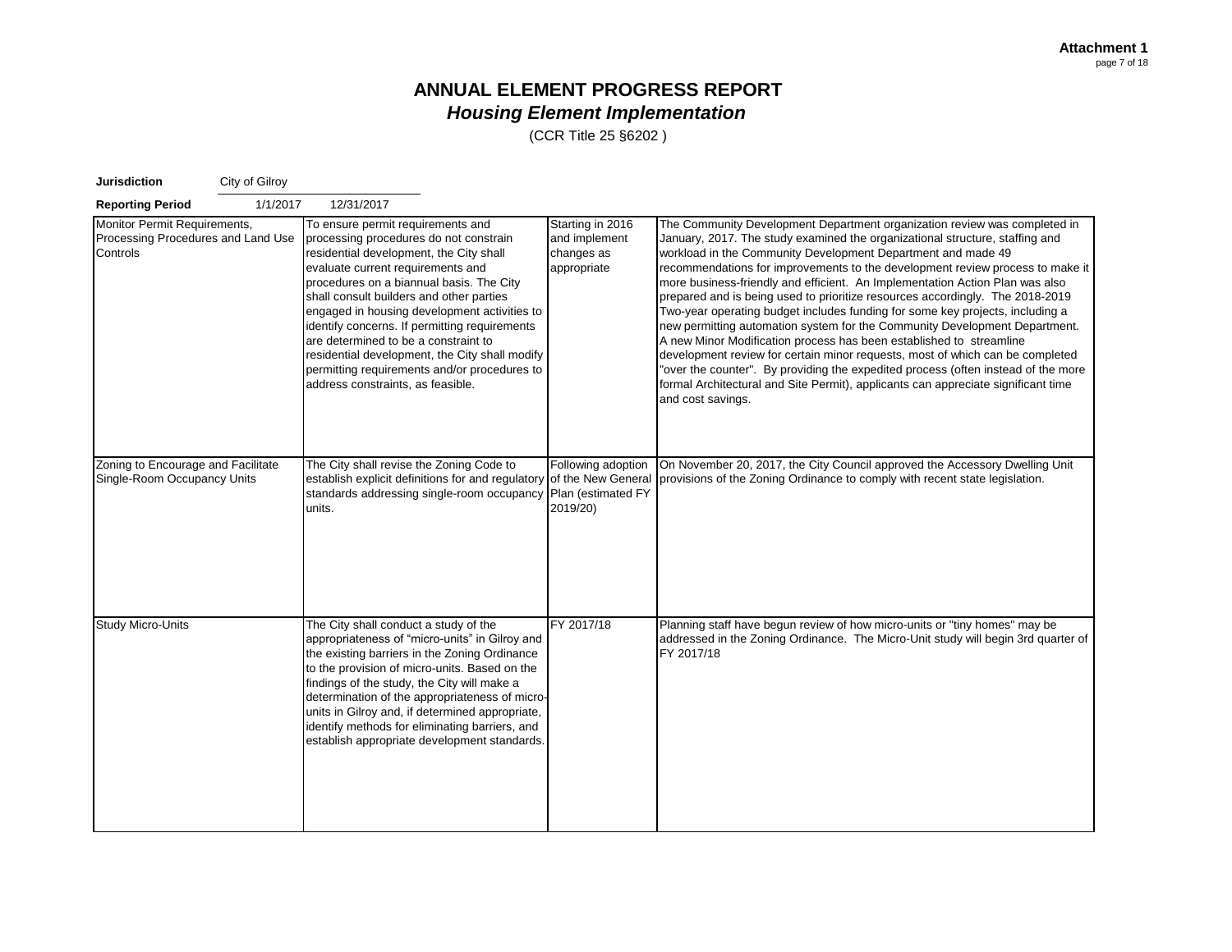| <b>Jurisdiction</b>                                                            | City of Gilroy |                                                                                                                                                                                                                                                                                                                                                                                                                                                                                                                                     |                                                                |                                                                                                                                                                                                                                                                                                                                                                                                                                                                                                                                                                                                                                                                                                                                                                                                                                                                                                                                                                                                   |
|--------------------------------------------------------------------------------|----------------|-------------------------------------------------------------------------------------------------------------------------------------------------------------------------------------------------------------------------------------------------------------------------------------------------------------------------------------------------------------------------------------------------------------------------------------------------------------------------------------------------------------------------------------|----------------------------------------------------------------|---------------------------------------------------------------------------------------------------------------------------------------------------------------------------------------------------------------------------------------------------------------------------------------------------------------------------------------------------------------------------------------------------------------------------------------------------------------------------------------------------------------------------------------------------------------------------------------------------------------------------------------------------------------------------------------------------------------------------------------------------------------------------------------------------------------------------------------------------------------------------------------------------------------------------------------------------------------------------------------------------|
| <b>Reporting Period</b>                                                        | 1/1/2017       | 12/31/2017                                                                                                                                                                                                                                                                                                                                                                                                                                                                                                                          |                                                                |                                                                                                                                                                                                                                                                                                                                                                                                                                                                                                                                                                                                                                                                                                                                                                                                                                                                                                                                                                                                   |
| Monitor Permit Requirements,<br>Processing Procedures and Land Use<br>Controls |                | To ensure permit requirements and<br>processing procedures do not constrain<br>residential development, the City shall<br>evaluate current requirements and<br>procedures on a biannual basis. The City<br>shall consult builders and other parties<br>engaged in housing development activities to<br>identify concerns. If permitting requirements<br>are determined to be a constraint to<br>residential development, the City shall modify<br>permitting requirements and/or procedures to<br>address constraints, as feasible. | Starting in 2016<br>and implement<br>changes as<br>appropriate | The Community Development Department organization review was completed in<br>January, 2017. The study examined the organizational structure, staffing and<br>workload in the Community Development Department and made 49<br>recommendations for improvements to the development review process to make it<br>more business-friendly and efficient. An Implementation Action Plan was also<br>prepared and is being used to prioritize resources accordingly. The 2018-2019<br>Two-year operating budget includes funding for some key projects, including a<br>new permitting automation system for the Community Development Department.<br>A new Minor Modification process has been established to streamline<br>development review for certain minor requests, most of which can be completed<br>"over the counter". By providing the expedited process (often instead of the more<br>formal Architectural and Site Permit), applicants can appreciate significant time<br>and cost savings. |
| Zoning to Encourage and Facilitate<br>Single-Room Occupancy Units              |                | The City shall revise the Zoning Code to<br>establish explicit definitions for and regulatory<br>standards addressing single-room occupancy Plan (estimated FY<br>units.                                                                                                                                                                                                                                                                                                                                                            | Following adoption<br>of the New General<br>2019/20)           | On November 20, 2017, the City Council approved the Accessory Dwelling Unit<br>provisions of the Zoning Ordinance to comply with recent state legislation.                                                                                                                                                                                                                                                                                                                                                                                                                                                                                                                                                                                                                                                                                                                                                                                                                                        |
| <b>Study Micro-Units</b>                                                       |                | The City shall conduct a study of the<br>appropriateness of "micro-units" in Gilroy and<br>the existing barriers in the Zoning Ordinance<br>to the provision of micro-units. Based on the<br>findings of the study, the City will make a<br>determination of the appropriateness of micro-<br>units in Gilroy and, if determined appropriate,<br>identify methods for eliminating barriers, and<br>establish appropriate development standards.                                                                                     | FY 2017/18                                                     | Planning staff have begun review of how micro-units or "tiny homes" may be<br>addressed in the Zoning Ordinance. The Micro-Unit study will begin 3rd quarter of<br>FY 2017/18                                                                                                                                                                                                                                                                                                                                                                                                                                                                                                                                                                                                                                                                                                                                                                                                                     |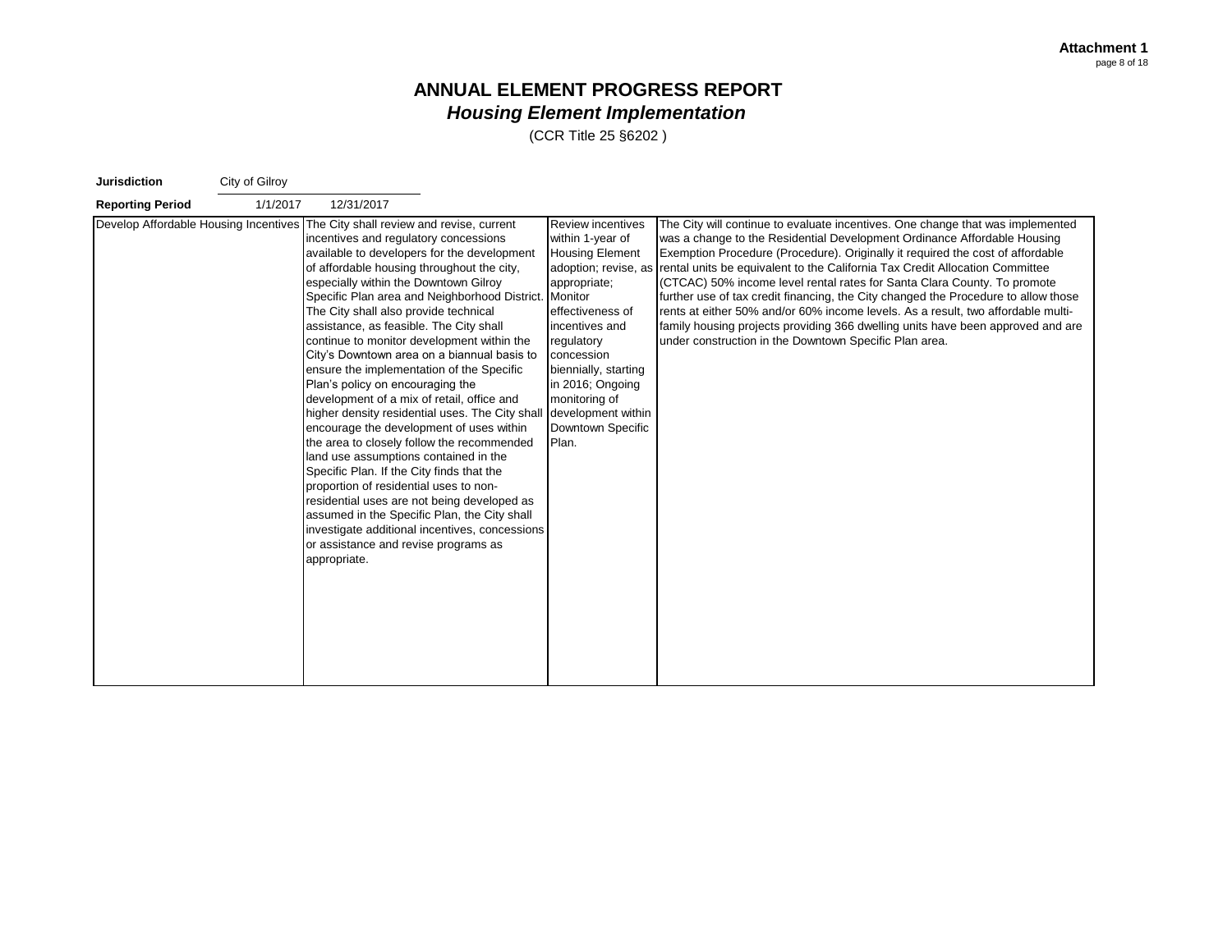| <b>Jurisdiction</b>     | City of Gilroy                        |                                                                                                                                                                                                                                                                                                                                                                                                                                                                                                                                                                                                                                                                                                                                                                                                                                                                                                                                                                                                                                                                                         |                                                                                                                                                                                                                                                                                                   |                                                                                                                                                                                                                                                                                                                                                                                                                                                                                                                                                                                                                                                                                                                                 |
|-------------------------|---------------------------------------|-----------------------------------------------------------------------------------------------------------------------------------------------------------------------------------------------------------------------------------------------------------------------------------------------------------------------------------------------------------------------------------------------------------------------------------------------------------------------------------------------------------------------------------------------------------------------------------------------------------------------------------------------------------------------------------------------------------------------------------------------------------------------------------------------------------------------------------------------------------------------------------------------------------------------------------------------------------------------------------------------------------------------------------------------------------------------------------------|---------------------------------------------------------------------------------------------------------------------------------------------------------------------------------------------------------------------------------------------------------------------------------------------------|---------------------------------------------------------------------------------------------------------------------------------------------------------------------------------------------------------------------------------------------------------------------------------------------------------------------------------------------------------------------------------------------------------------------------------------------------------------------------------------------------------------------------------------------------------------------------------------------------------------------------------------------------------------------------------------------------------------------------------|
| <b>Reporting Period</b> | 1/1/2017                              | 12/31/2017                                                                                                                                                                                                                                                                                                                                                                                                                                                                                                                                                                                                                                                                                                                                                                                                                                                                                                                                                                                                                                                                              |                                                                                                                                                                                                                                                                                                   |                                                                                                                                                                                                                                                                                                                                                                                                                                                                                                                                                                                                                                                                                                                                 |
|                         | Develop Affordable Housing Incentives | The City shall review and revise, current<br>incentives and regulatory concessions<br>available to developers for the development<br>of affordable housing throughout the city,<br>especially within the Downtown Gilroy<br>Specific Plan area and Neighborhood District. Monitor<br>The City shall also provide technical<br>assistance, as feasible. The City shall<br>continue to monitor development within the<br>City's Downtown area on a biannual basis to<br>ensure the implementation of the Specific<br>Plan's policy on encouraging the<br>development of a mix of retail, office and<br>higher density residential uses. The City shall<br>encourage the development of uses within<br>the area to closely follow the recommended<br>land use assumptions contained in the<br>Specific Plan. If the City finds that the<br>proportion of residential uses to non-<br>residential uses are not being developed as<br>assumed in the Specific Plan, the City shall<br>investigate additional incentives, concessions<br>or assistance and revise programs as<br>appropriate. | <b>Review incentives</b><br>within 1-year of<br><b>Housing Element</b><br>adoption; revise, as<br>appropriate;<br>effectiveness of<br>incentives and<br>regulatory<br>concession<br>biennially, starting<br>in 2016; Ongoing<br>monitoring of<br>development within<br>Downtown Specific<br>Plan. | The City will continue to evaluate incentives. One change that was implemented<br>was a change to the Residential Development Ordinance Affordable Housing<br>Exemption Procedure (Procedure). Originally it required the cost of affordable<br>rental units be equivalent to the California Tax Credit Allocation Committee<br>(CTCAC) 50% income level rental rates for Santa Clara County. To promote<br>further use of tax credit financing, the City changed the Procedure to allow those<br>rents at either 50% and/or 60% income levels. As a result, two affordable multi-<br>family housing projects providing 366 dwelling units have been approved and are<br>under construction in the Downtown Specific Plan area. |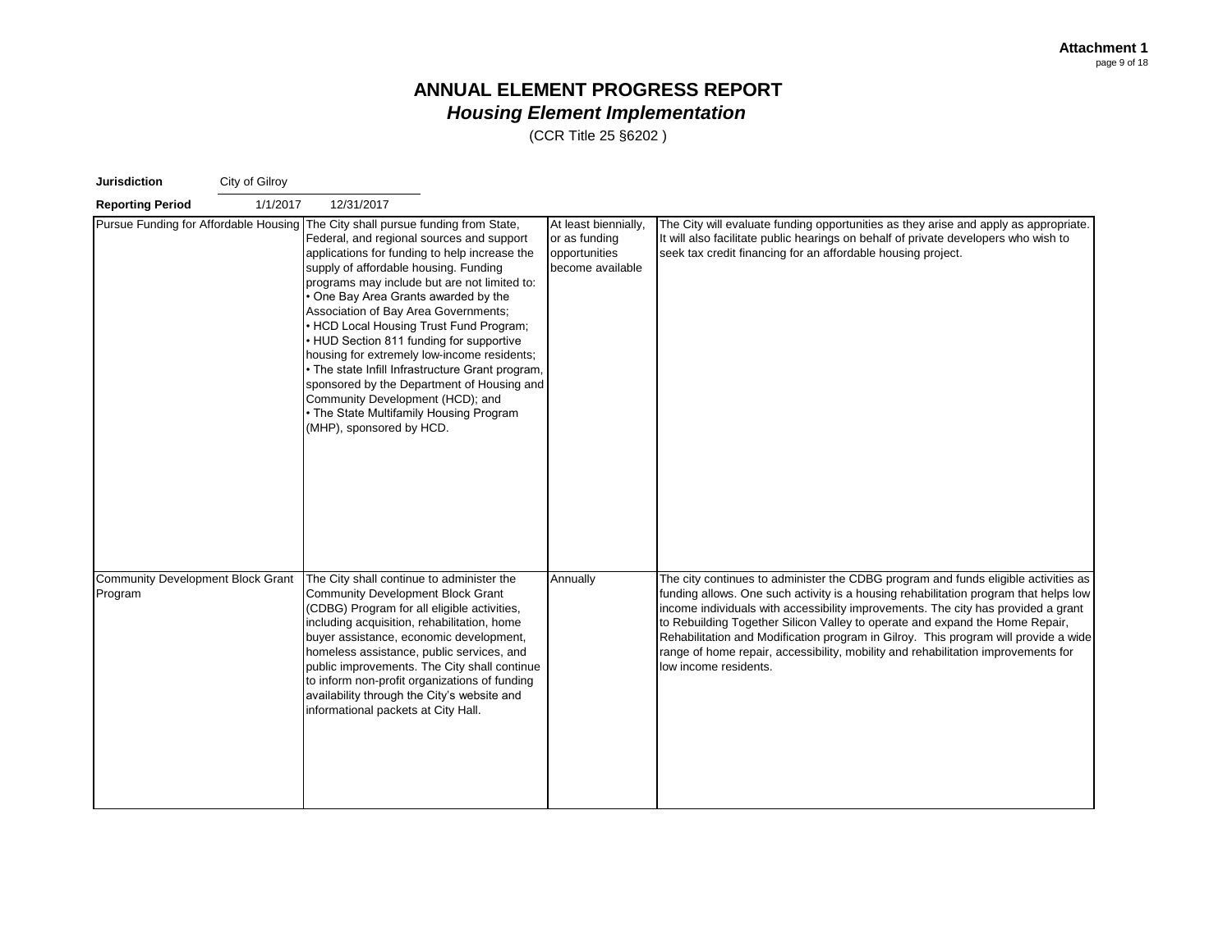| Jurisdiction                                 | City of Gilroy |                                                                                                                                                                                                                                                                                                                                                                                                                                                                                                                                                                                                                                                                                                           |                                                                            |                                                                                                                                                                                                                                                                                                                                                                                                                                                                                                                                                      |
|----------------------------------------------|----------------|-----------------------------------------------------------------------------------------------------------------------------------------------------------------------------------------------------------------------------------------------------------------------------------------------------------------------------------------------------------------------------------------------------------------------------------------------------------------------------------------------------------------------------------------------------------------------------------------------------------------------------------------------------------------------------------------------------------|----------------------------------------------------------------------------|------------------------------------------------------------------------------------------------------------------------------------------------------------------------------------------------------------------------------------------------------------------------------------------------------------------------------------------------------------------------------------------------------------------------------------------------------------------------------------------------------------------------------------------------------|
| <b>Reporting Period</b>                      | 1/1/2017       | 12/31/2017                                                                                                                                                                                                                                                                                                                                                                                                                                                                                                                                                                                                                                                                                                |                                                                            |                                                                                                                                                                                                                                                                                                                                                                                                                                                                                                                                                      |
|                                              |                | Pursue Funding for Affordable Housing The City shall pursue funding from State,<br>Federal, and regional sources and support<br>applications for funding to help increase the<br>supply of affordable housing. Funding<br>programs may include but are not limited to:<br>• One Bay Area Grants awarded by the<br>Association of Bay Area Governments;<br>• HCD Local Housing Trust Fund Program;<br>• HUD Section 811 funding for supportive<br>housing for extremely low-income residents;<br>• The state Infill Infrastructure Grant program,<br>sponsored by the Department of Housing and<br>Community Development (HCD); and<br>• The State Multifamily Housing Program<br>(MHP), sponsored by HCD. | At least biennially.<br>or as funding<br>opportunities<br>become available | The City will evaluate funding opportunities as they arise and apply as appropriate.<br>It will also facilitate public hearings on behalf of private developers who wish to<br>seek tax credit financing for an affordable housing project.                                                                                                                                                                                                                                                                                                          |
| Community Development Block Grant<br>Program |                | The City shall continue to administer the<br>Community Development Block Grant<br>(CDBG) Program for all eligible activities,<br>including acquisition, rehabilitation, home<br>buyer assistance, economic development,<br>homeless assistance, public services, and<br>public improvements. The City shall continue<br>to inform non-profit organizations of funding<br>availability through the City's website and<br>informational packets at City Hall.                                                                                                                                                                                                                                               | Annually                                                                   | The city continues to administer the CDBG program and funds eligible activities as<br>funding allows. One such activity is a housing rehabilitation program that helps low<br>income individuals with accessibility improvements. The city has provided a grant<br>to Rebuilding Together Silicon Valley to operate and expand the Home Repair,<br>Rehabilitation and Modification program in Gilroy. This program will provide a wide<br>range of home repair, accessibility, mobility and rehabilitation improvements for<br>low income residents. |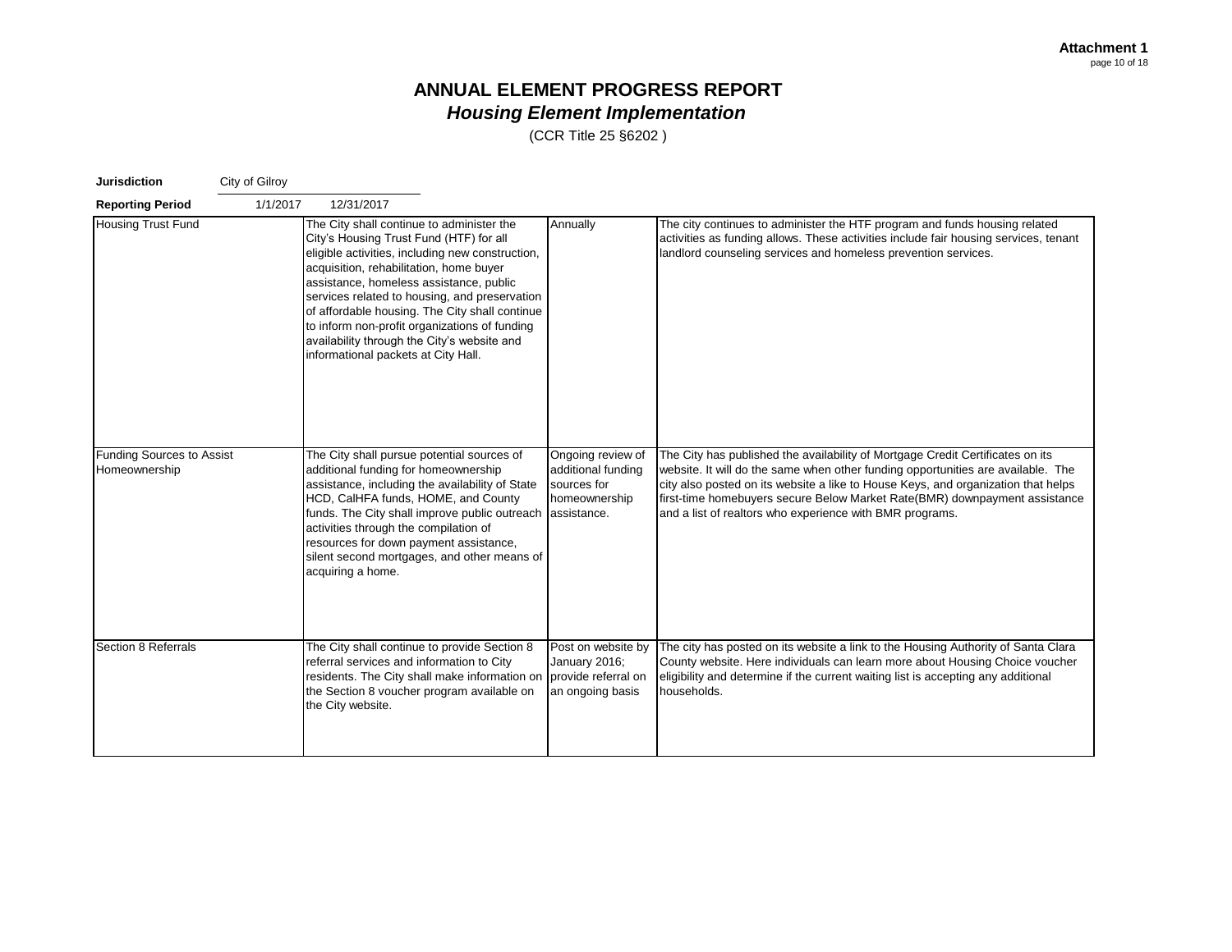| <b>Jurisdiction</b>                               | City of Gilroy |                                                                                                                                                                                                                                                                                                                                                                                                                                                                          |                                                                                        |                                                                                                                                                                                                                                                                                                                                                                                                   |
|---------------------------------------------------|----------------|--------------------------------------------------------------------------------------------------------------------------------------------------------------------------------------------------------------------------------------------------------------------------------------------------------------------------------------------------------------------------------------------------------------------------------------------------------------------------|----------------------------------------------------------------------------------------|---------------------------------------------------------------------------------------------------------------------------------------------------------------------------------------------------------------------------------------------------------------------------------------------------------------------------------------------------------------------------------------------------|
| <b>Reporting Period</b>                           | 1/1/2017       | 12/31/2017                                                                                                                                                                                                                                                                                                                                                                                                                                                               |                                                                                        |                                                                                                                                                                                                                                                                                                                                                                                                   |
| <b>Housing Trust Fund</b>                         |                | The City shall continue to administer the<br>City's Housing Trust Fund (HTF) for all<br>eligible activities, including new construction,<br>acquisition, rehabilitation, home buyer<br>assistance, homeless assistance, public<br>services related to housing, and preservation<br>of affordable housing. The City shall continue<br>to inform non-profit organizations of funding<br>availability through the City's website and<br>informational packets at City Hall. | Annually                                                                               | The city continues to administer the HTF program and funds housing related<br>activities as funding allows. These activities include fair housing services, tenant<br>landlord counseling services and homeless prevention services.                                                                                                                                                              |
| <b>Funding Sources to Assist</b><br>Homeownership |                | The City shall pursue potential sources of<br>additional funding for homeownership<br>assistance, including the availability of State<br>HCD, CalHFA funds, HOME, and County<br>funds. The City shall improve public outreach<br>activities through the compilation of<br>resources for down payment assistance,<br>silent second mortgages, and other means of<br>acquiring a home.                                                                                     | Ongoing review of<br>additional funding<br>sources for<br>homeownership<br>assistance. | The City has published the availability of Mortgage Credit Certificates on its<br>website. It will do the same when other funding opportunities are available. The<br>city also posted on its website a like to House Keys, and organization that helps<br>first-time homebuyers secure Below Market Rate(BMR) downpayment assistance<br>and a list of realtors who experience with BMR programs. |
| Section 8 Referrals                               |                | The City shall continue to provide Section 8<br>referral services and information to City<br>residents. The City shall make information on<br>the Section 8 voucher program available on<br>the City website.                                                                                                                                                                                                                                                            | Post on website by<br>January 2016;<br>provide referral on<br>an ongoing basis         | The city has posted on its website a link to the Housing Authority of Santa Clara<br>County website. Here individuals can learn more about Housing Choice voucher<br>eligibility and determine if the current waiting list is accepting any additional<br>households.                                                                                                                             |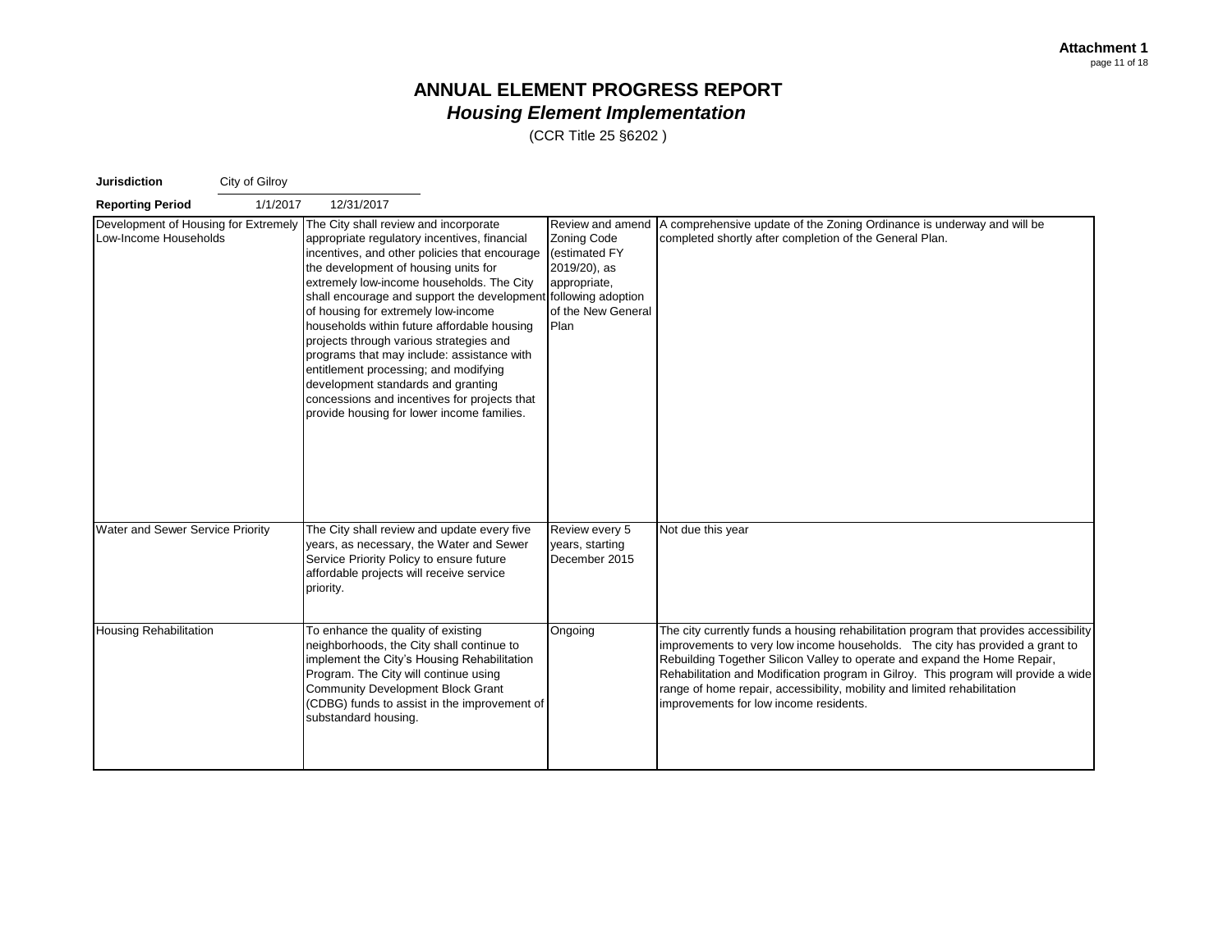| <b>Jurisdiction</b>                                           | City of Gilroy |                                                                                                                                                                                                                                                                                                                                                                                                                                                                                                                                                                                                                                                           |                                                                                            |                                                                                                                                                                                                                                                                                                                                                                                                                                                                 |
|---------------------------------------------------------------|----------------|-----------------------------------------------------------------------------------------------------------------------------------------------------------------------------------------------------------------------------------------------------------------------------------------------------------------------------------------------------------------------------------------------------------------------------------------------------------------------------------------------------------------------------------------------------------------------------------------------------------------------------------------------------------|--------------------------------------------------------------------------------------------|-----------------------------------------------------------------------------------------------------------------------------------------------------------------------------------------------------------------------------------------------------------------------------------------------------------------------------------------------------------------------------------------------------------------------------------------------------------------|
| <b>Reporting Period</b>                                       | 1/1/2017       | 12/31/2017                                                                                                                                                                                                                                                                                                                                                                                                                                                                                                                                                                                                                                                |                                                                                            |                                                                                                                                                                                                                                                                                                                                                                                                                                                                 |
| Development of Housing for Extremely<br>Low-Income Households |                | The City shall review and incorporate<br>appropriate regulatory incentives, financial<br>incentives, and other policies that encourage<br>the development of housing units for<br>extremely low-income households. The City<br>shall encourage and support the development following adoption<br>of housing for extremely low-income<br>households within future affordable housing<br>projects through various strategies and<br>programs that may include: assistance with<br>entitlement processing; and modifying<br>development standards and granting<br>concessions and incentives for projects that<br>provide housing for lower income families. | Zoning Code<br>(estimated FY<br>2019/20), as<br>appropriate,<br>of the New General<br>Plan | Review and amend   A comprehensive update of the Zoning Ordinance is underway and will be<br>completed shortly after completion of the General Plan.                                                                                                                                                                                                                                                                                                            |
| Water and Sewer Service Priority                              |                | The City shall review and update every five<br>years, as necessary, the Water and Sewer<br>Service Priority Policy to ensure future<br>affordable projects will receive service<br>priority.                                                                                                                                                                                                                                                                                                                                                                                                                                                              | Review every 5<br>years, starting<br>December 2015                                         | Not due this year                                                                                                                                                                                                                                                                                                                                                                                                                                               |
| <b>Housing Rehabilitation</b>                                 |                | To enhance the quality of existing<br>neighborhoods, the City shall continue to<br>implement the City's Housing Rehabilitation<br>Program. The City will continue using<br><b>Community Development Block Grant</b><br>(CDBG) funds to assist in the improvement of<br>substandard housing.                                                                                                                                                                                                                                                                                                                                                               | Ongoing                                                                                    | The city currently funds a housing rehabilitation program that provides accessibility<br>improvements to very low income households. The city has provided a grant to<br>Rebuilding Together Silicon Valley to operate and expand the Home Repair,<br>Rehabilitation and Modification program in Gilroy. This program will provide a wide<br>range of home repair, accessibility, mobility and limited rehabilitation<br>improvements for low income residents. |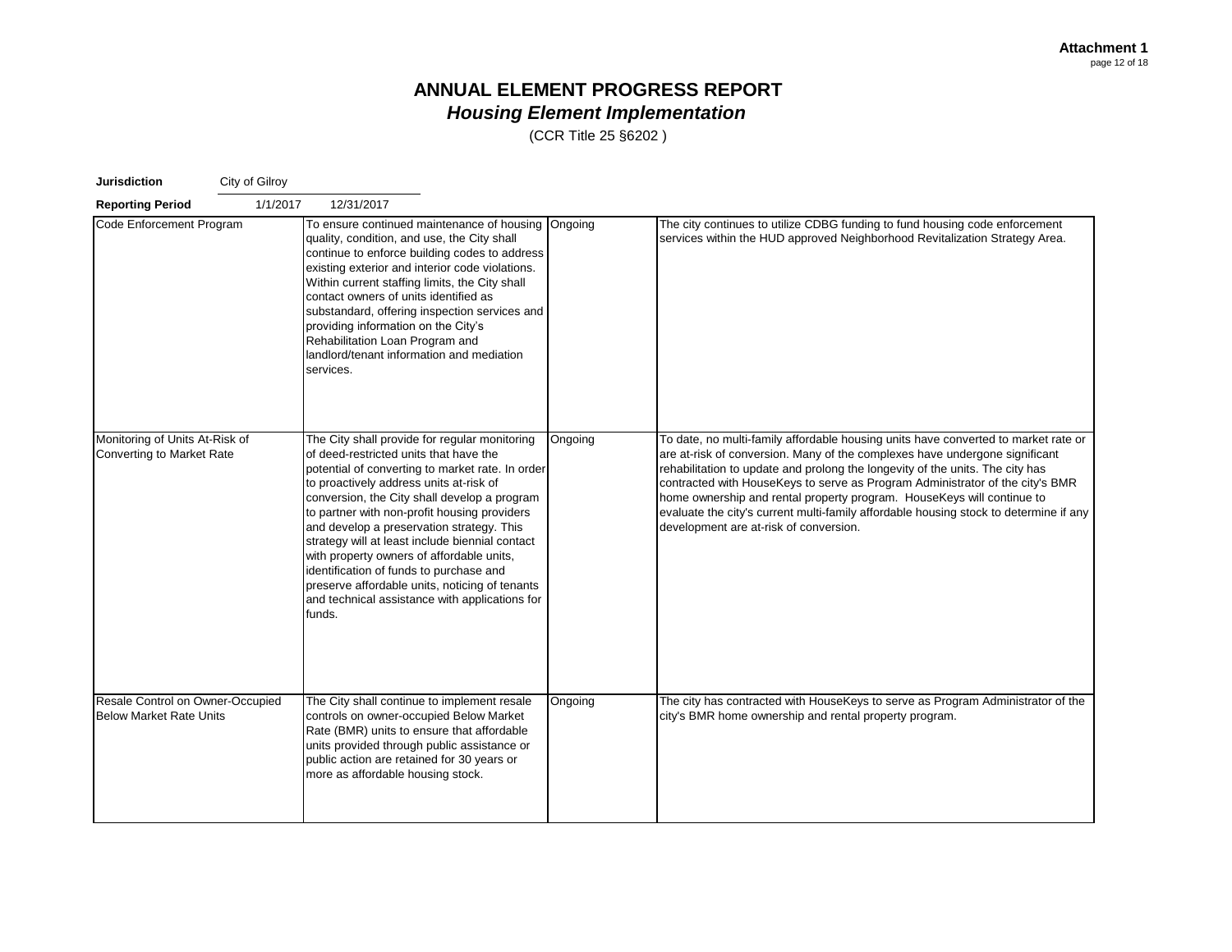| <b>Jurisdiction</b><br>City of Gilroy                              |                                                                                                                                                                                                                                                                                                                                                                                                                                                                                                                                                                                              |         |                                                                                                                                                                                                                                                                                                                                                                                                                                                                                                                                                  |
|--------------------------------------------------------------------|----------------------------------------------------------------------------------------------------------------------------------------------------------------------------------------------------------------------------------------------------------------------------------------------------------------------------------------------------------------------------------------------------------------------------------------------------------------------------------------------------------------------------------------------------------------------------------------------|---------|--------------------------------------------------------------------------------------------------------------------------------------------------------------------------------------------------------------------------------------------------------------------------------------------------------------------------------------------------------------------------------------------------------------------------------------------------------------------------------------------------------------------------------------------------|
| 1/1/2017<br><b>Reporting Period</b>                                | 12/31/2017                                                                                                                                                                                                                                                                                                                                                                                                                                                                                                                                                                                   |         |                                                                                                                                                                                                                                                                                                                                                                                                                                                                                                                                                  |
| Code Enforcement Program                                           | To ensure continued maintenance of housing Ongoing<br>quality, condition, and use, the City shall<br>continue to enforce building codes to address<br>existing exterior and interior code violations.<br>Within current staffing limits, the City shall<br>contact owners of units identified as<br>substandard, offering inspection services and<br>providing information on the City's<br>Rehabilitation Loan Program and<br>landlord/tenant information and mediation<br>services.                                                                                                        |         | The city continues to utilize CDBG funding to fund housing code enforcement<br>services within the HUD approved Neighborhood Revitalization Strategy Area.                                                                                                                                                                                                                                                                                                                                                                                       |
| Monitoring of Units At-Risk of<br><b>Converting to Market Rate</b> | The City shall provide for regular monitoring<br>of deed-restricted units that have the<br>potential of converting to market rate. In order<br>to proactively address units at-risk of<br>conversion, the City shall develop a program<br>to partner with non-profit housing providers<br>and develop a preservation strategy. This<br>strategy will at least include biennial contact<br>with property owners of affordable units,<br>identification of funds to purchase and<br>preserve affordable units, noticing of tenants<br>and technical assistance with applications for<br>funds. | Ongoing | To date, no multi-family affordable housing units have converted to market rate or<br>are at-risk of conversion. Many of the complexes have undergone significant<br>rehabilitation to update and prolong the longevity of the units. The city has<br>contracted with HouseKeys to serve as Program Administrator of the city's BMR<br>home ownership and rental property program. HouseKeys will continue to<br>evaluate the city's current multi-family affordable housing stock to determine if any<br>development are at-risk of conversion. |
| Resale Control on Owner-Occupied<br><b>Below Market Rate Units</b> | The City shall continue to implement resale<br>controls on owner-occupied Below Market<br>Rate (BMR) units to ensure that affordable<br>units provided through public assistance or<br>public action are retained for 30 years or<br>more as affordable housing stock.                                                                                                                                                                                                                                                                                                                       | Ongoing | The city has contracted with HouseKeys to serve as Program Administrator of the<br>city's BMR home ownership and rental property program.                                                                                                                                                                                                                                                                                                                                                                                                        |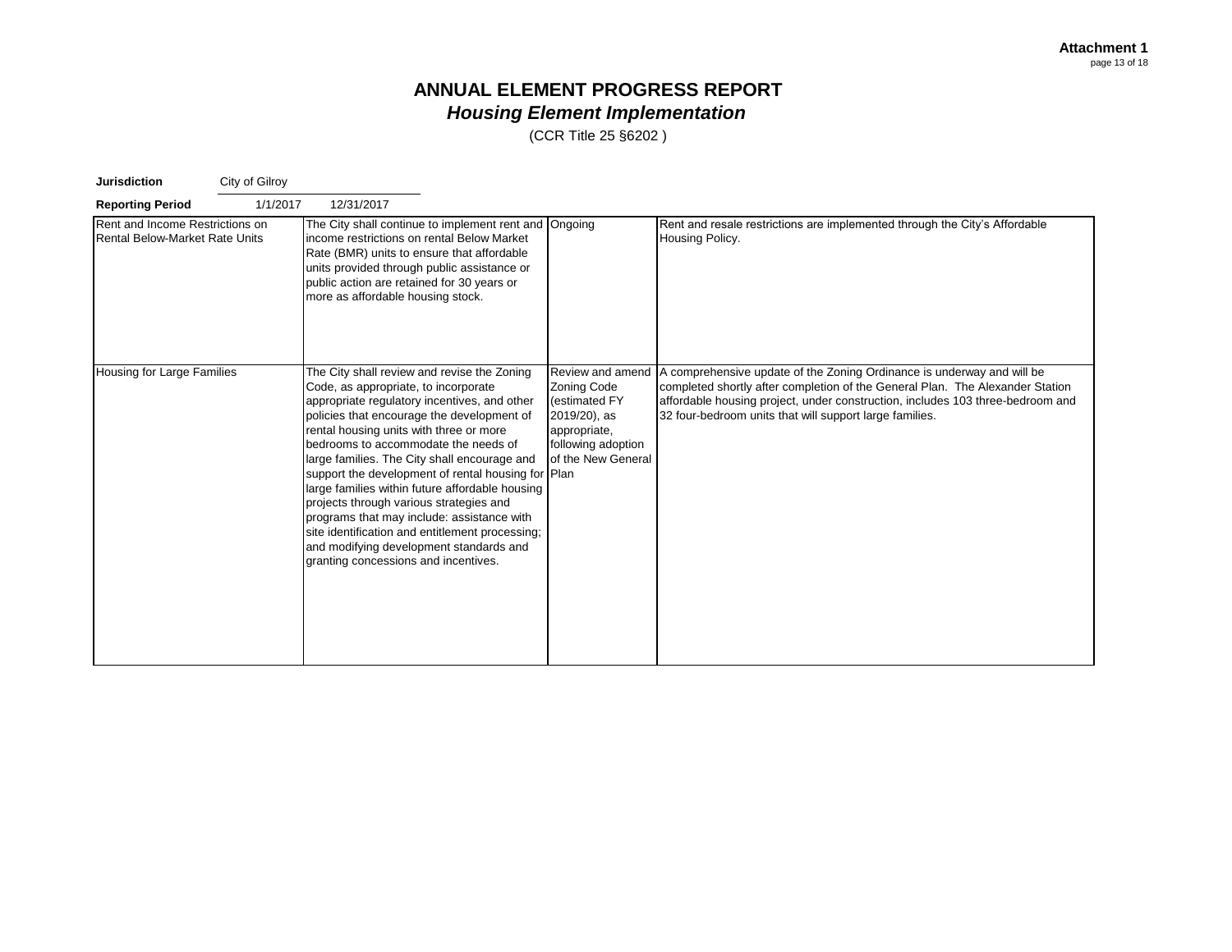| <b>Jurisdiction</b>                                                      | City of Gilroy |                                                                                                                                                                                                                                                                                                                                                                                                                                                                                                                                                                                                                                                              |                                                                                                                                     |                                                                                                                                                                                                                                                                                                      |
|--------------------------------------------------------------------------|----------------|--------------------------------------------------------------------------------------------------------------------------------------------------------------------------------------------------------------------------------------------------------------------------------------------------------------------------------------------------------------------------------------------------------------------------------------------------------------------------------------------------------------------------------------------------------------------------------------------------------------------------------------------------------------|-------------------------------------------------------------------------------------------------------------------------------------|------------------------------------------------------------------------------------------------------------------------------------------------------------------------------------------------------------------------------------------------------------------------------------------------------|
| <b>Reporting Period</b>                                                  | 1/1/2017       | 12/31/2017                                                                                                                                                                                                                                                                                                                                                                                                                                                                                                                                                                                                                                                   |                                                                                                                                     |                                                                                                                                                                                                                                                                                                      |
| Rent and Income Restrictions on<br><b>Rental Below-Market Rate Units</b> |                | The City shall continue to implement rent and Ongoing<br>income restrictions on rental Below Market<br>Rate (BMR) units to ensure that affordable<br>units provided through public assistance or<br>public action are retained for 30 years or<br>more as affordable housing stock.                                                                                                                                                                                                                                                                                                                                                                          |                                                                                                                                     | Rent and resale restrictions are implemented through the City's Affordable<br>Housing Policy.                                                                                                                                                                                                        |
| Housing for Large Families                                               |                | The City shall review and revise the Zoning<br>Code, as appropriate, to incorporate<br>appropriate regulatory incentives, and other<br>policies that encourage the development of<br>rental housing units with three or more<br>bedrooms to accommodate the needs of<br>large families. The City shall encourage and<br>support the development of rental housing for Plan<br>large families within future affordable housing<br>projects through various strategies and<br>programs that may include: assistance with<br>site identification and entitlement processing;<br>and modifying development standards and<br>granting concessions and incentives. | Review and amend<br><b>Zoning Code</b><br>(estimated FY<br>2019/20), as<br>appropriate,<br>following adoption<br>of the New General | A comprehensive update of the Zoning Ordinance is underway and will be<br>completed shortly after completion of the General Plan. The Alexander Station<br>affordable housing project, under construction, includes 103 three-bedroom and<br>32 four-bedroom units that will support large families. |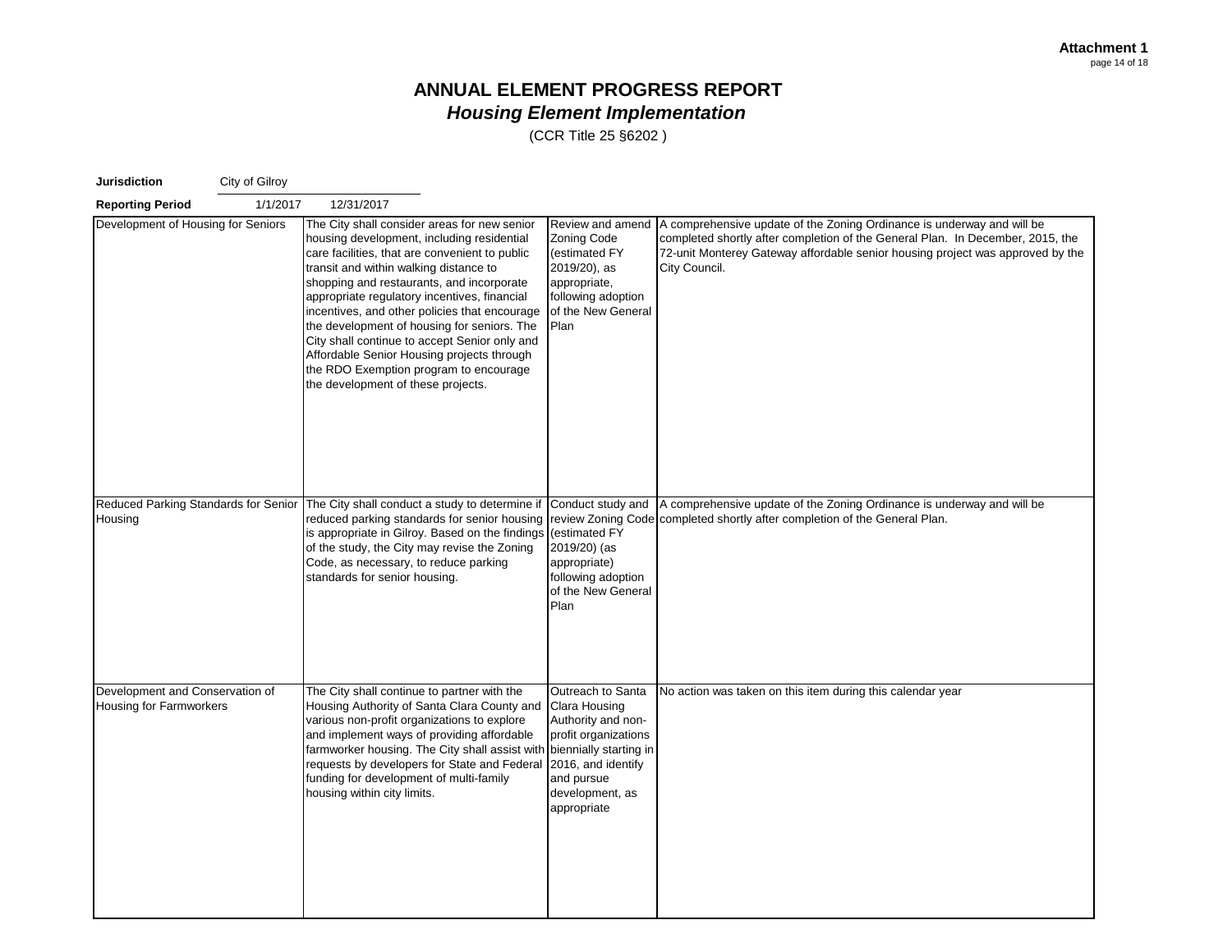| <b>Jurisdiction</b><br>City of Gilroy                             |                                                                                                                                                                                                                                                                                                                                                                                                                                                                                                                                                                                                                                                                                                                                                                                                                                                                                                                                                                                  |
|-------------------------------------------------------------------|----------------------------------------------------------------------------------------------------------------------------------------------------------------------------------------------------------------------------------------------------------------------------------------------------------------------------------------------------------------------------------------------------------------------------------------------------------------------------------------------------------------------------------------------------------------------------------------------------------------------------------------------------------------------------------------------------------------------------------------------------------------------------------------------------------------------------------------------------------------------------------------------------------------------------------------------------------------------------------|
| <b>Reporting Period</b>                                           | 1/1/2017<br>12/31/2017                                                                                                                                                                                                                                                                                                                                                                                                                                                                                                                                                                                                                                                                                                                                                                                                                                                                                                                                                           |
| Development of Housing for Seniors                                | The City shall consider areas for new senior<br>A comprehensive update of the Zoning Ordinance is underway and will be<br>Review and amend<br>housing development, including residential<br><b>Zoning Code</b><br>completed shortly after completion of the General Plan. In December, 2015, the<br>72-unit Monterey Gateway affordable senior housing project was approved by the<br>care facilities, that are convenient to public<br>(estimated FY<br>transit and within walking distance to<br>2019/20), as<br>City Council.<br>shopping and restaurants, and incorporate<br>appropriate,<br>appropriate regulatory incentives, financial<br>following adoption<br>incentives, and other policies that encourage<br>of the New General<br>the development of housing for seniors. The<br>Plan<br>City shall continue to accept Senior only and<br>Affordable Senior Housing projects through<br>the RDO Exemption program to encourage<br>the development of these projects. |
| Housing                                                           | Reduced Parking Standards for Senior   The City shall conduct a study to determine if<br>A comprehensive update of the Zoning Ordinance is underway and will be<br>Conduct study and<br>reduced parking standards for senior housing<br>review Zoning Code<br>completed shortly after completion of the General Plan.<br>is appropriate in Gilroy. Based on the findings<br>(estimated FY<br>of the study, the City may revise the Zoning<br>2019/20) (as<br>Code, as necessary, to reduce parking<br>appropriate)<br>standards for senior housing.<br>following adoption<br>of the New General<br>Plan                                                                                                                                                                                                                                                                                                                                                                          |
| Development and Conservation of<br><b>Housing for Farmworkers</b> | The City shall continue to partner with the<br>Outreach to Santa<br>No action was taken on this item during this calendar year<br>Housing Authority of Santa Clara County and<br>Clara Housing<br>various non-profit organizations to explore<br>Authority and non-<br>and implement ways of providing affordable<br>profit organizations<br>farmworker housing. The City shall assist with<br>biennially starting in<br>requests by developers for State and Federal<br>2016, and identify<br>and pursue<br>funding for development of multi-family<br>housing within city limits.<br>development, as<br>appropriate                                                                                                                                                                                                                                                                                                                                                            |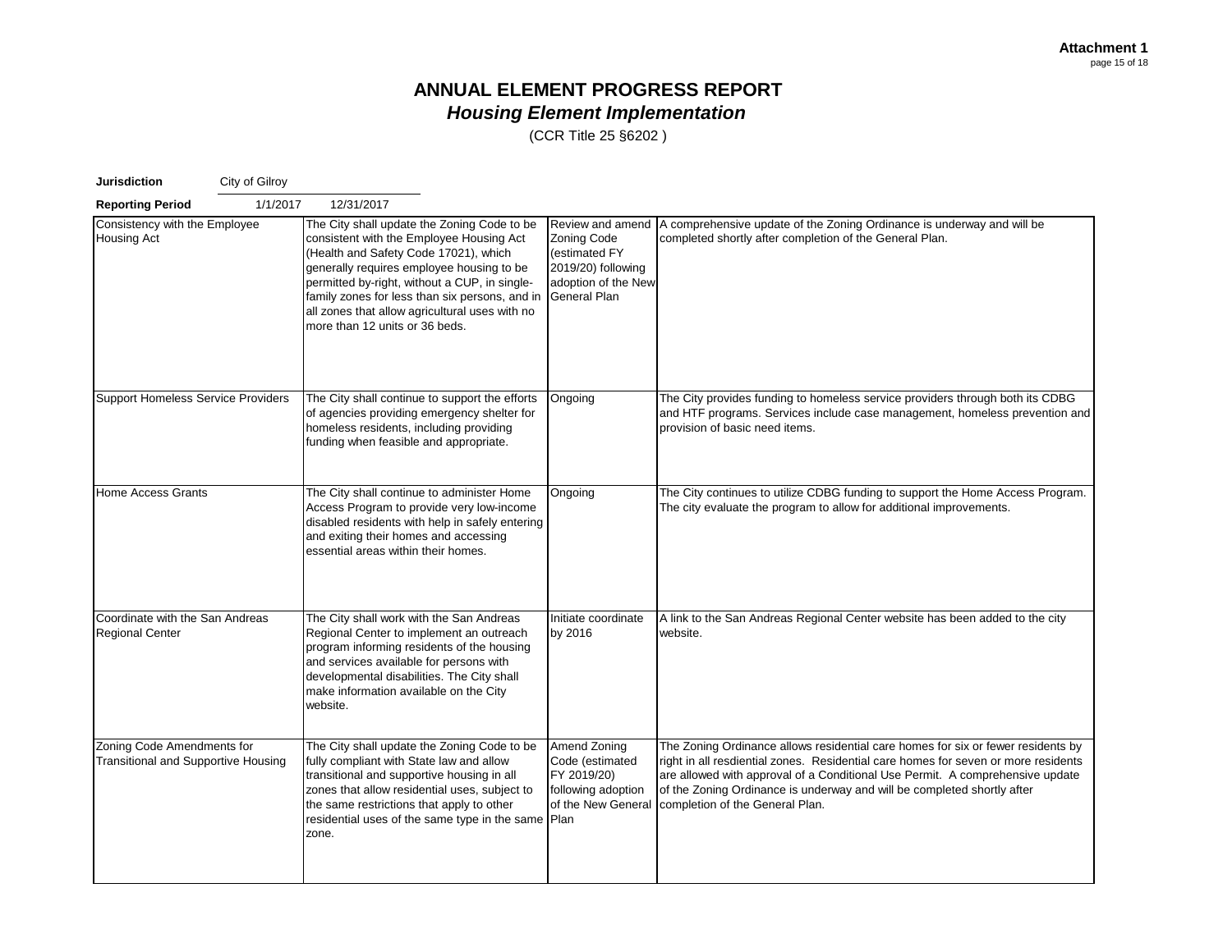| Jurisdiction<br>City of Gilroy                                    |                                                                                                                                                                                                                                                                                                                                                                      |                                                                                                                             |                                                                                                                                                                                                                                                                                                                                                                       |
|-------------------------------------------------------------------|----------------------------------------------------------------------------------------------------------------------------------------------------------------------------------------------------------------------------------------------------------------------------------------------------------------------------------------------------------------------|-----------------------------------------------------------------------------------------------------------------------------|-----------------------------------------------------------------------------------------------------------------------------------------------------------------------------------------------------------------------------------------------------------------------------------------------------------------------------------------------------------------------|
| <b>Reporting Period</b>                                           | 1/1/2017<br>12/31/2017                                                                                                                                                                                                                                                                                                                                               |                                                                                                                             |                                                                                                                                                                                                                                                                                                                                                                       |
| Consistency with the Employee<br><b>Housing Act</b>               | The City shall update the Zoning Code to be<br>consistent with the Employee Housing Act<br>(Health and Safety Code 17021), which<br>generally requires employee housing to be<br>permitted by-right, without a CUP, in single-<br>family zones for less than six persons, and in<br>all zones that allow agricultural uses with no<br>more than 12 units or 36 beds. | Review and amend<br><b>Zoning Code</b><br>(estimated FY<br>2019/20) following<br>adoption of the New<br><b>General Plan</b> | A comprehensive update of the Zoning Ordinance is underway and will be<br>completed shortly after completion of the General Plan.                                                                                                                                                                                                                                     |
| <b>Support Homeless Service Providers</b>                         | The City shall continue to support the efforts<br>of agencies providing emergency shelter for<br>homeless residents, including providing<br>funding when feasible and appropriate.                                                                                                                                                                                   | Ongoing                                                                                                                     | The City provides funding to homeless service providers through both its CDBG<br>and HTF programs. Services include case management, homeless prevention and<br>provision of basic need items.                                                                                                                                                                        |
| <b>Home Access Grants</b>                                         | The City shall continue to administer Home<br>Access Program to provide very low-income<br>disabled residents with help in safely entering<br>and exiting their homes and accessing<br>essential areas within their homes.                                                                                                                                           | Ongoing                                                                                                                     | The City continues to utilize CDBG funding to support the Home Access Program.<br>The city evaluate the program to allow for additional improvements.                                                                                                                                                                                                                 |
| Coordinate with the San Andreas<br><b>Regional Center</b>         | The City shall work with the San Andreas<br>Regional Center to implement an outreach<br>program informing residents of the housing<br>and services available for persons with<br>developmental disabilities. The City shall<br>make information available on the City<br>website.                                                                                    | Initiate coordinate<br>by 2016                                                                                              | A link to the San Andreas Regional Center website has been added to the city<br>website.                                                                                                                                                                                                                                                                              |
| Zoning Code Amendments for<br>Transitional and Supportive Housing | The City shall update the Zoning Code to be<br>fully compliant with State law and allow<br>transitional and supportive housing in all<br>zones that allow residential uses, subject to<br>the same restrictions that apply to other<br>residential uses of the same type in the same Plan<br>zone.                                                                   | Amend Zoning<br>Code (estimated<br>FY 2019/20)<br>following adoption<br>of the New General                                  | The Zoning Ordinance allows residential care homes for six or fewer residents by<br>right in all resdiential zones. Residential care homes for seven or more residents<br>are allowed with approval of a Conditional Use Permit. A comprehensive update<br>of the Zoning Ordinance is underway and will be completed shortly after<br>completion of the General Plan. |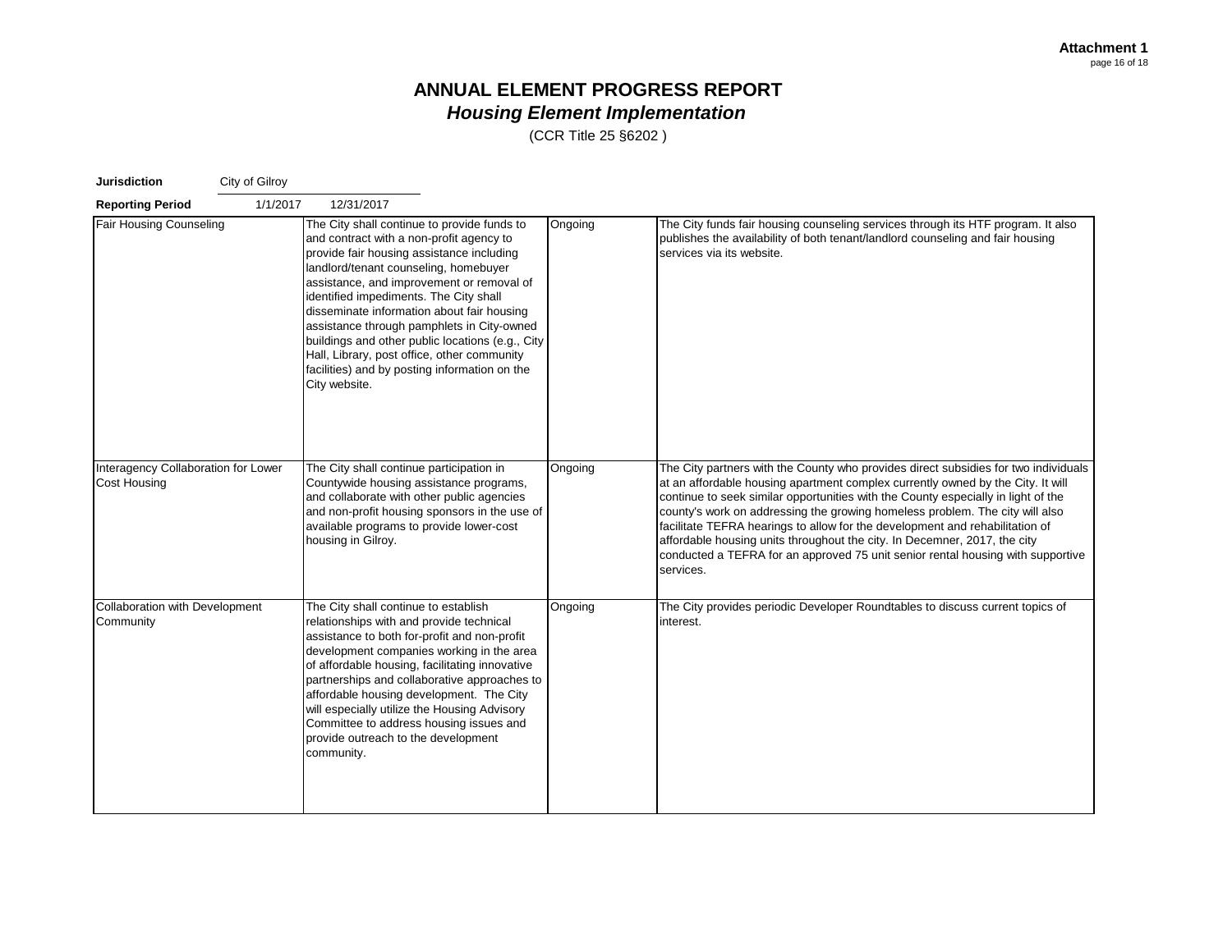| Jurisdiction                                               | City of Gilroy |                                                                                                                                                                                                                                                                                                                                                                                                                                                                                                                                       |         |                                                                                                                                                                                                                                                                                                                                                                                                                                                                                                                                                                                                          |
|------------------------------------------------------------|----------------|---------------------------------------------------------------------------------------------------------------------------------------------------------------------------------------------------------------------------------------------------------------------------------------------------------------------------------------------------------------------------------------------------------------------------------------------------------------------------------------------------------------------------------------|---------|----------------------------------------------------------------------------------------------------------------------------------------------------------------------------------------------------------------------------------------------------------------------------------------------------------------------------------------------------------------------------------------------------------------------------------------------------------------------------------------------------------------------------------------------------------------------------------------------------------|
| <b>Reporting Period</b>                                    | 1/1/2017       | 12/31/2017                                                                                                                                                                                                                                                                                                                                                                                                                                                                                                                            |         |                                                                                                                                                                                                                                                                                                                                                                                                                                                                                                                                                                                                          |
| <b>Fair Housing Counseling</b>                             |                | The City shall continue to provide funds to<br>and contract with a non-profit agency to<br>provide fair housing assistance including<br>landlord/tenant counseling, homebuyer<br>assistance, and improvement or removal of<br>identified impediments. The City shall<br>disseminate information about fair housing<br>assistance through pamphlets in City-owned<br>buildings and other public locations (e.g., City<br>Hall, Library, post office, other community<br>facilities) and by posting information on the<br>City website. | Ongoing | The City funds fair housing counseling services through its HTF program. It also<br>publishes the availability of both tenant/landlord counseling and fair housing<br>services via its website.                                                                                                                                                                                                                                                                                                                                                                                                          |
| Interagency Collaboration for Lower<br><b>Cost Housing</b> |                | The City shall continue participation in<br>Countywide housing assistance programs,<br>and collaborate with other public agencies<br>and non-profit housing sponsors in the use of<br>available programs to provide lower-cost<br>housing in Gilroy.                                                                                                                                                                                                                                                                                  | Ongoing | The City partners with the County who provides direct subsidies for two individuals<br>at an affordable housing apartment complex currently owned by the City. It will<br>continue to seek similar opportunities with the County especially in light of the<br>county's work on addressing the growing homeless problem. The city will also<br>facilitate TEFRA hearings to allow for the development and rehabilitation of<br>affordable housing units throughout the city. In Decemner, 2017, the city<br>conducted a TEFRA for an approved 75 unit senior rental housing with supportive<br>services. |
| Collaboration with Development<br>Community                |                | The City shall continue to establish<br>relationships with and provide technical<br>assistance to both for-profit and non-profit<br>development companies working in the area<br>of affordable housing, facilitating innovative<br>partnerships and collaborative approaches to<br>affordable housing development. The City<br>will especially utilize the Housing Advisory<br>Committee to address housing issues and<br>provide outreach to the development<br>community.                                                           | Ongoing | The City provides periodic Developer Roundtables to discuss current topics of<br>interest.                                                                                                                                                                                                                                                                                                                                                                                                                                                                                                               |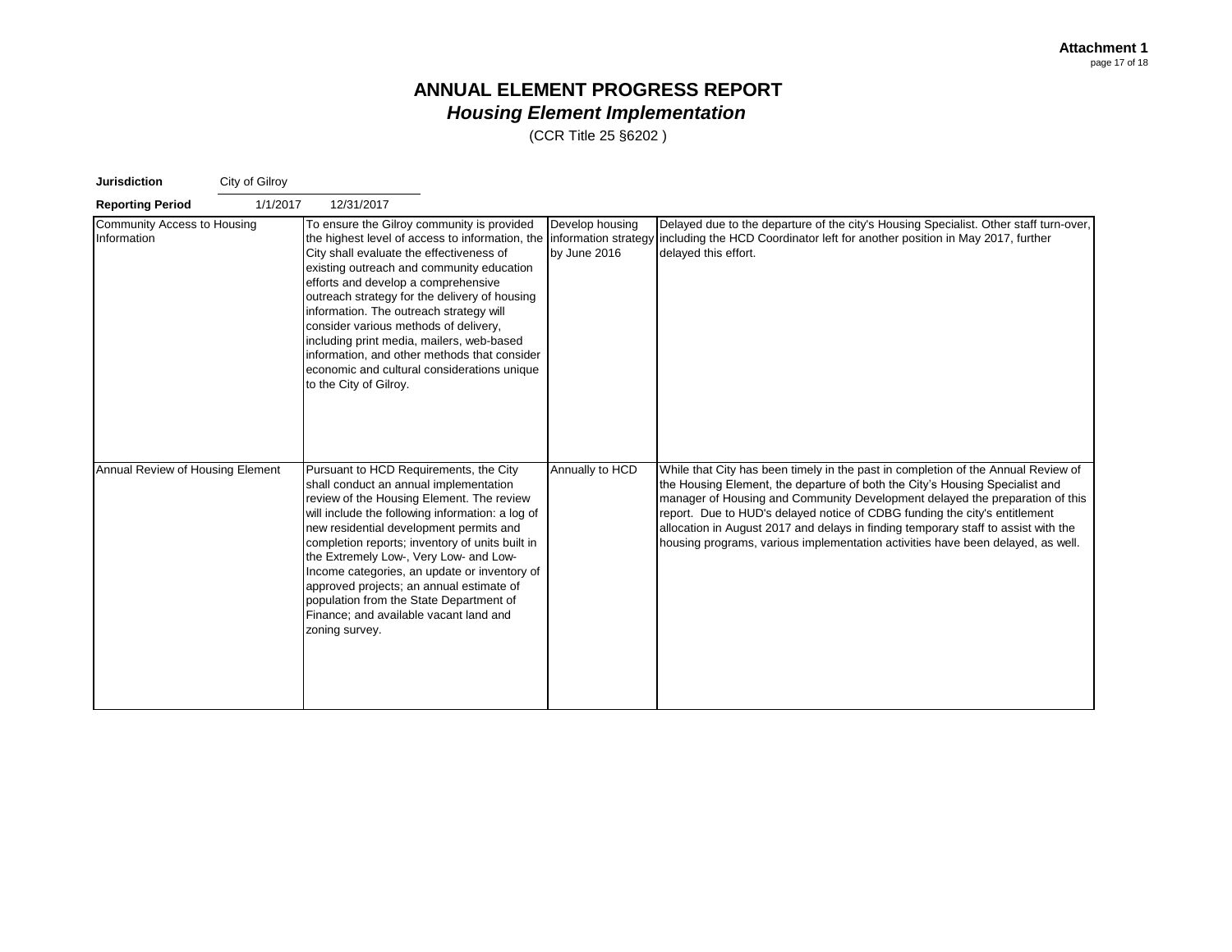| Jurisdiction                                      | City of Gilroy |                                                                                                                                                                                                                                                                                                                                                                                        |                                                                                                                                                                     |                                 |                                                                                                                                                                                                                                                                                                                                                                                                                                                                                                          |
|---------------------------------------------------|----------------|----------------------------------------------------------------------------------------------------------------------------------------------------------------------------------------------------------------------------------------------------------------------------------------------------------------------------------------------------------------------------------------|---------------------------------------------------------------------------------------------------------------------------------------------------------------------|---------------------------------|----------------------------------------------------------------------------------------------------------------------------------------------------------------------------------------------------------------------------------------------------------------------------------------------------------------------------------------------------------------------------------------------------------------------------------------------------------------------------------------------------------|
| <b>Reporting Period</b>                           | 1/1/2017       | 12/31/2017                                                                                                                                                                                                                                                                                                                                                                             |                                                                                                                                                                     |                                 |                                                                                                                                                                                                                                                                                                                                                                                                                                                                                                          |
| <b>Community Access to Housing</b><br>Information |                | To ensure the Gilroy community is provided<br>City shall evaluate the effectiveness of<br>existing outreach and community education<br>efforts and develop a comprehensive<br>outreach strategy for the delivery of housing<br>information. The outreach strategy will<br>consider various methods of delivery,<br>including print media, mailers, web-based<br>to the City of Gilroy. | the highest level of access to information, the information strategy<br>information, and other methods that consider<br>economic and cultural considerations unique | Develop housing<br>by June 2016 | Delayed due to the departure of the city's Housing Specialist. Other staff turn-over,<br>including the HCD Coordinator left for another position in May 2017, further<br>delayed this effort.                                                                                                                                                                                                                                                                                                            |
| Annual Review of Housing Element                  |                | Pursuant to HCD Requirements, the City<br>shall conduct an annual implementation<br>review of the Housing Element. The review<br>new residential development permits and<br>the Extremely Low-, Very Low- and Low-<br>approved projects; an annual estimate of<br>population from the State Department of<br>Finance; and available vacant land and<br>zoning survey.                  | will include the following information: a log of<br>completion reports; inventory of units built in<br>Income categories, an update or inventory of                 | Annually to HCD                 | While that City has been timely in the past in completion of the Annual Review of<br>the Housing Element, the departure of both the City's Housing Specialist and<br>manager of Housing and Community Development delayed the preparation of this<br>report. Due to HUD's delayed notice of CDBG funding the city's entitlement<br>allocation in August 2017 and delays in finding temporary staff to assist with the<br>housing programs, various implementation activities have been delayed, as well. |